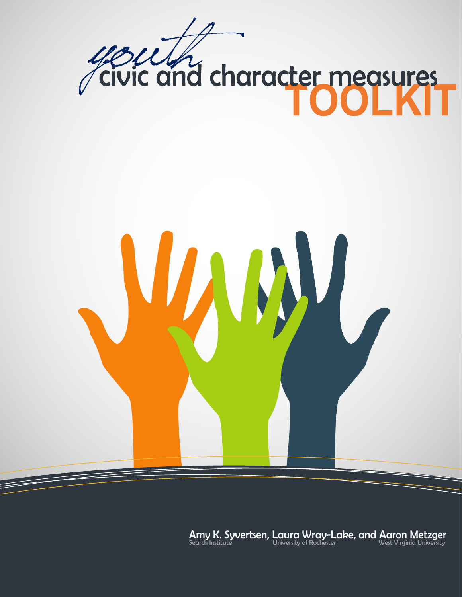

Amy K. Syvertsen, Laura Wray-Lake, and Aaron Metzger<br>Search Institute University of Rochester (West Virginia University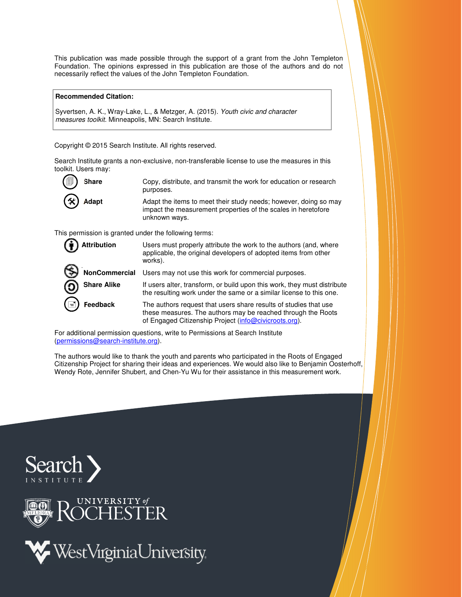This publication was made possible through the support of a grant from the John Templeton Foundation. The opinions expressed in this publication are those of the authors and do not necessarily reflect the values of the John Templeton Foundation.

#### **Recommended Citation:**

Syvertsen, A. K., Wray-Lake, L., & Metzger, A. (2015). Youth civic and character measures toolkit. Minneapolis, MN: Search Institute.

Copyright © 2015 Search Institute. All rights reserved.

Search Institute grants a non-exclusive, non-transferable license to use the measures in this toolkit. Users may:

| O)                  | Copy, distribute, and transmit the work for education or research                                                                                  |
|---------------------|----------------------------------------------------------------------------------------------------------------------------------------------------|
| <b>Share</b>        | purposes.                                                                                                                                          |
| $\circledast$ Adapt | Adapt the items to meet their study needs; however, doing so may<br>impact the measurement properties of the scales in heretofore<br>unknown ways. |

This permission is granted under the following terms:

| <b>Attribution</b> | Users must properly attribute the work to the authors (and, where<br>applicable, the original developers of adopted items from other<br>works).                                           |
|--------------------|-------------------------------------------------------------------------------------------------------------------------------------------------------------------------------------------|
| NonCommercial      | Users may not use this work for commercial purposes.                                                                                                                                      |
| <b>Share Alike</b> | If users alter, transform, or build upon this work, they must distribute<br>the resulting work under the same or a similar license to this one.                                           |
| ਵ<br>Feedback      | The authors request that users share results of studies that use<br>these measures. The authors may be reached through the Roots<br>of Engaged Citizenship Project (info@civicroots.org). |

For additional permission questions, write to Permissions at Search Institute (permissions@search-institute.org).

The authors would like to thank the youth and parents who participated in the Roots of Engaged Citizenship Project for sharing their ideas and experiences. We would also like to Benjamin Oosterhoff, Wendy Rote, Jennifer Shubert, and Chen-Yu Wu for their assistance in this measurement work.





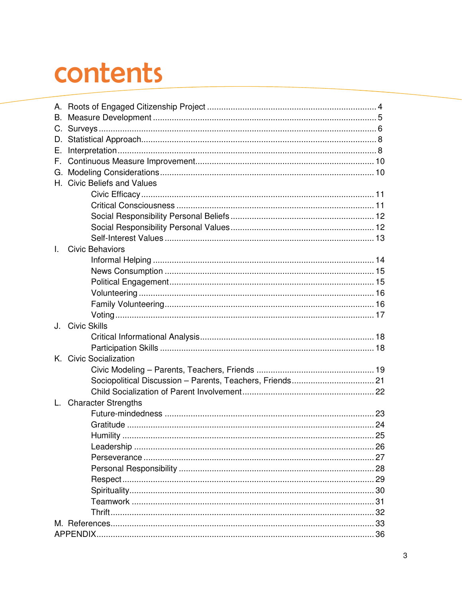# contents

| В.           |                             |  |
|--------------|-----------------------------|--|
|              |                             |  |
|              |                             |  |
| Е.           |                             |  |
| F.,          |                             |  |
|              |                             |  |
|              | H. Civic Beliefs and Values |  |
|              |                             |  |
|              |                             |  |
|              |                             |  |
|              |                             |  |
|              |                             |  |
| $\mathbf{L}$ | <b>Civic Behaviors</b>      |  |
|              |                             |  |
|              |                             |  |
|              |                             |  |
|              |                             |  |
|              |                             |  |
|              |                             |  |
|              | J. Civic Skills             |  |
|              |                             |  |
|              |                             |  |
|              | K. Civic Socialization      |  |
|              |                             |  |
|              |                             |  |
|              |                             |  |
|              | L. Character Strengths      |  |
|              |                             |  |
|              |                             |  |
|              |                             |  |
|              |                             |  |
|              |                             |  |
|              |                             |  |
|              |                             |  |
|              |                             |  |
|              |                             |  |
|              |                             |  |
|              |                             |  |
|              |                             |  |
|              |                             |  |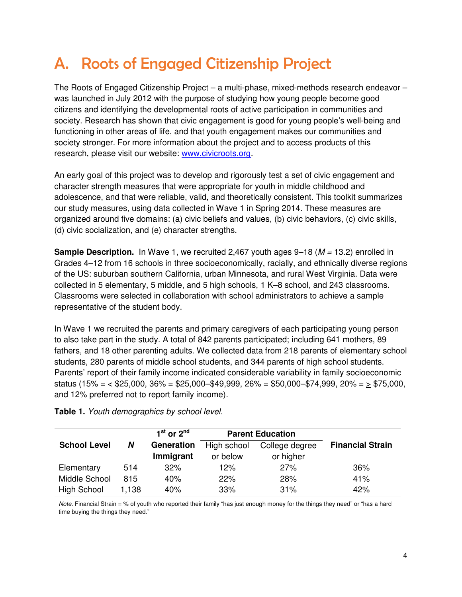## A. Roots of Engaged Citizenship Project

The Roots of Engaged Citizenship Project – a multi-phase, mixed-methods research endeavor – was launched in July 2012 with the purpose of studying how young people become good citizens and identifying the developmental roots of active participation in communities and society. Research has shown that civic engagement is good for young people's well-being and functioning in other areas of life, and that youth engagement makes our communities and society stronger. For more information about the project and to access products of this research, please visit our website: www.civicroots.org.

An early goal of this project was to develop and rigorously test a set of civic engagement and character strength measures that were appropriate for youth in middle childhood and adolescence, and that were reliable, valid, and theoretically consistent. This toolkit summarizes our study measures, using data collected in Wave 1 in Spring 2014. These measures are organized around five domains: (a) civic beliefs and values, (b) civic behaviors, (c) civic skills, (d) civic socialization, and (e) character strengths.

**Sample Description.** In Wave 1, we recruited 2,467 youth ages 9–18 (*M* = 13.2) enrolled in Grades 4–12 from 16 schools in three socioeconomically, racially, and ethnically diverse regions of the US: suburban southern California, urban Minnesota, and rural West Virginia. Data were collected in 5 elementary, 5 middle, and 5 high schools, 1 K–8 school, and 243 classrooms. Classrooms were selected in collaboration with school administrators to achieve a sample representative of the student body.

In Wave 1 we recruited the parents and primary caregivers of each participating young person to also take part in the study. A total of 842 parents participated; including 641 mothers, 89 fathers, and 18 other parenting adults. We collected data from 218 parents of elementary school students, 280 parents of middle school students, and 344 parents of high school students. Parents' report of their family income indicated considerable variability in family socioeconomic status (15% = < \$25,000, 36% = \$25,000–\$49,999, 26% = \$50,000–\$74,999, 20% = > \$75,000, and 12% preferred not to report family income).

| $1st$ or $2nd$<br><b>Parent Education</b> |       |            |             |                |                         |
|-------------------------------------------|-------|------------|-------------|----------------|-------------------------|
| <b>School Level</b>                       | N     | Generation | High school | College degree | <b>Financial Strain</b> |
|                                           |       | Immigrant  | or below    | or higher      |                         |
| Elementary                                | 514   | 32%        | 12%         | 27%            | 36%                     |
| Middle School                             | 815   | 40%        | 22%         | 28%            | 41%                     |
| High School                               | 1,138 | 40%        | 33%         | 31%            | 42%                     |

**Table 1.** Youth demographics by school level.

Note. Financial Strain = % of youth who reported their family "has just enough money for the things they need" or "has a hard time buying the things they need."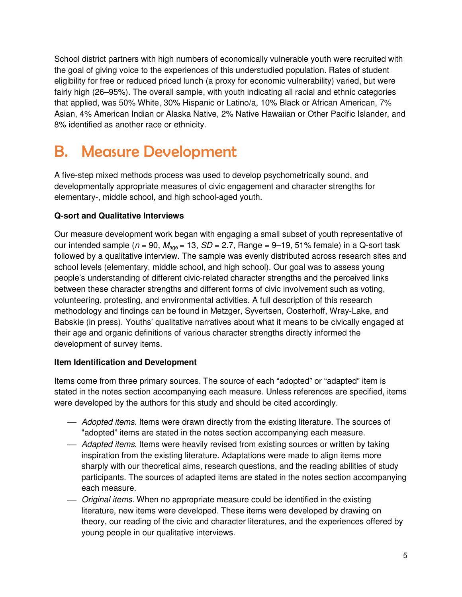School district partners with high numbers of economically vulnerable youth were recruited with the goal of giving voice to the experiences of this understudied population. Rates of student eligibility for free or reduced priced lunch (a proxy for economic vulnerability) varied, but were fairly high (26–95%). The overall sample, with youth indicating all racial and ethnic categories that applied, was 50% White, 30% Hispanic or Latino/a, 10% Black or African American, 7% Asian, 4% American Indian or Alaska Native, 2% Native Hawaiian or Other Pacific Islander, and 8% identified as another race or ethnicity.

## B. Measure Development

A five-step mixed methods process was used to develop psychometrically sound, and developmentally appropriate measures of civic engagement and character strengths for elementary-, middle school, and high school-aged youth.

#### **Q-sort and Qualitative Interviews**

Our measure development work began with engaging a small subset of youth representative of our intended sample ( $n = 90$ ,  $M_{\text{ace}} = 13$ ,  $SD = 2.7$ , Range = 9-19, 51% female) in a Q-sort task followed by a qualitative interview. The sample was evenly distributed across research sites and school levels (elementary, middle school, and high school). Our goal was to assess young people's understanding of different civic-related character strengths and the perceived links between these character strengths and different forms of civic involvement such as voting, volunteering, protesting, and environmental activities. A full description of this research methodology and findings can be found in Metzger, Syvertsen, Oosterhoff, Wray-Lake, and Babskie (in press). Youths' qualitative narratives about what it means to be civically engaged at their age and organic definitions of various character strengths directly informed the development of survey items.

#### **Item Identification and Development**

Items come from three primary sources. The source of each "adopted" or "adapted" item is stated in the notes section accompanying each measure. Unless references are specified, items were developed by the authors for this study and should be cited accordingly.

- **Adopted items.** Items were drawn directly from the existing literature. The sources of "adopted" items are stated in the notes section accompanying each measure.
- Adapted items. Items were heavily revised from existing sources or written by taking inspiration from the existing literature. Adaptations were made to align items more sharply with our theoretical aims, research questions, and the reading abilities of study participants. The sources of adapted items are stated in the notes section accompanying each measure.
- *Original items*. When no appropriate measure could be identified in the existing literature, new items were developed. These items were developed by drawing on theory, our reading of the civic and character literatures, and the experiences offered by young people in our qualitative interviews.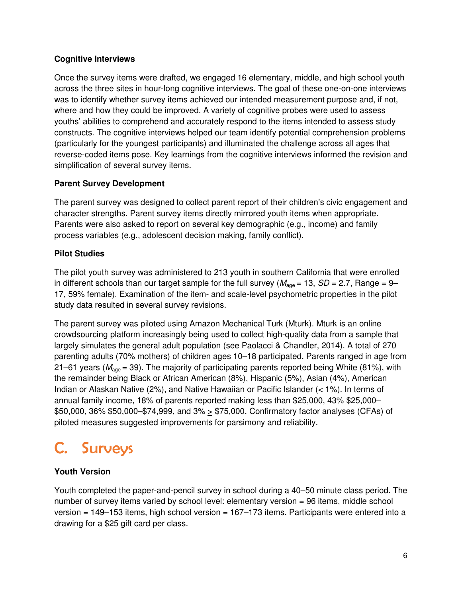#### **Cognitive Interviews**

Once the survey items were drafted, we engaged 16 elementary, middle, and high school youth across the three sites in hour-long cognitive interviews. The goal of these one-on-one interviews was to identify whether survey items achieved our intended measurement purpose and, if not, where and how they could be improved. A variety of cognitive probes were used to assess youths' abilities to comprehend and accurately respond to the items intended to assess study constructs. The cognitive interviews helped our team identify potential comprehension problems (particularly for the youngest participants) and illuminated the challenge across all ages that reverse-coded items pose. Key learnings from the cognitive interviews informed the revision and simplification of several survey items.

#### **Parent Survey Development**

The parent survey was designed to collect parent report of their children's civic engagement and character strengths. Parent survey items directly mirrored youth items when appropriate. Parents were also asked to report on several key demographic (e.g., income) and family process variables (e.g., adolescent decision making, family conflict).

### **Pilot Studies**

The pilot youth survey was administered to 213 youth in southern California that were enrolled in different schools than our target sample for the full survey ( $M_{\text{age}} = 13$ ,  $SD = 2.7$ , Range = 9– 17, 59% female). Examination of the item- and scale-level psychometric properties in the pilot study data resulted in several survey revisions.

The parent survey was piloted using Amazon Mechanical Turk (Mturk). Mturk is an online crowdsourcing platform increasingly being used to collect high-quality data from a sample that largely simulates the general adult population (see Paolacci & Chandler, 2014). A total of 270 parenting adults (70% mothers) of children ages 10–18 participated. Parents ranged in age from 21–61 years ( $M_{age}$  = 39). The majority of participating parents reported being White (81%), with the remainder being Black or African American (8%), Hispanic (5%), Asian (4%), American Indian or Alaskan Native (2%), and Native Hawaiian or Pacific Islander (< 1%). In terms of annual family income, 18% of parents reported making less than \$25,000, 43% \$25,000– \$50,000, 36% \$50,000–\$74,999, and  $3\% \geq $75,000$ . Confirmatory factor analyses (CFAs) of piloted measures suggested improvements for parsimony and reliability.

### C. Surveys

### **Youth Version**

Youth completed the paper-and-pencil survey in school during a 40–50 minute class period. The number of survey items varied by school level: elementary version = 96 items, middle school version = 149–153 items, high school version = 167–173 items. Participants were entered into a drawing for a \$25 gift card per class.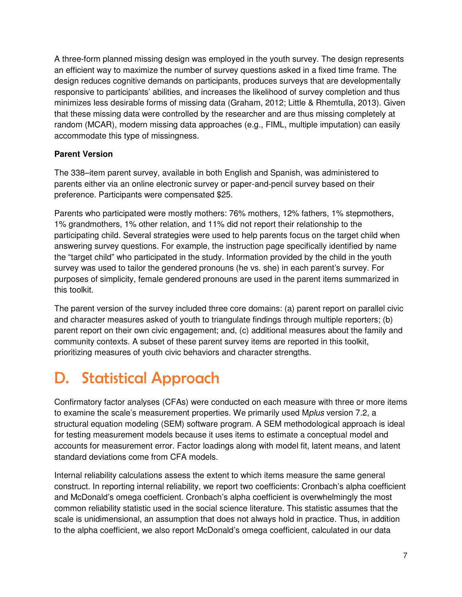A three-form planned missing design was employed in the youth survey. The design represents an efficient way to maximize the number of survey questions asked in a fixed time frame. The design reduces cognitive demands on participants, produces surveys that are developmentally responsive to participants' abilities, and increases the likelihood of survey completion and thus minimizes less desirable forms of missing data (Graham, 2012; Little & Rhemtulla, 2013). Given that these missing data were controlled by the researcher and are thus missing completely at random (MCAR), modern missing data approaches (e.g., FIML, multiple imputation) can easily accommodate this type of missingness.

### **Parent Version**

The 338–item parent survey, available in both English and Spanish, was administered to parents either via an online electronic survey or paper-and-pencil survey based on their preference. Participants were compensated \$25.

Parents who participated were mostly mothers: 76% mothers, 12% fathers, 1% stepmothers, 1% grandmothers, 1% other relation, and 11% did not report their relationship to the participating child. Several strategies were used to help parents focus on the target child when answering survey questions. For example, the instruction page specifically identified by name the "target child" who participated in the study. Information provided by the child in the youth survey was used to tailor the gendered pronouns (he vs. she) in each parent's survey. For purposes of simplicity, female gendered pronouns are used in the parent items summarized in this toolkit.

The parent version of the survey included three core domains: (a) parent report on parallel civic and character measures asked of youth to triangulate findings through multiple reporters; (b) parent report on their own civic engagement; and, (c) additional measures about the family and community contexts. A subset of these parent survey items are reported in this toolkit, prioritizing measures of youth civic behaviors and character strengths.

# D. Statistical Approach

Confirmatory factor analyses (CFAs) were conducted on each measure with three or more items to examine the scale's measurement properties. We primarily used Mplus version 7.2, a structural equation modeling (SEM) software program. A SEM methodological approach is ideal for testing measurement models because it uses items to estimate a conceptual model and accounts for measurement error. Factor loadings along with model fit, latent means, and latent standard deviations come from CFA models.

Internal reliability calculations assess the extent to which items measure the same general construct. In reporting internal reliability, we report two coefficients: Cronbach's alpha coefficient and McDonald's omega coefficient. Cronbach's alpha coefficient is overwhelmingly the most common reliability statistic used in the social science literature. This statistic assumes that the scale is unidimensional, an assumption that does not always hold in practice. Thus, in addition to the alpha coefficient, we also report McDonald's omega coefficient, calculated in our data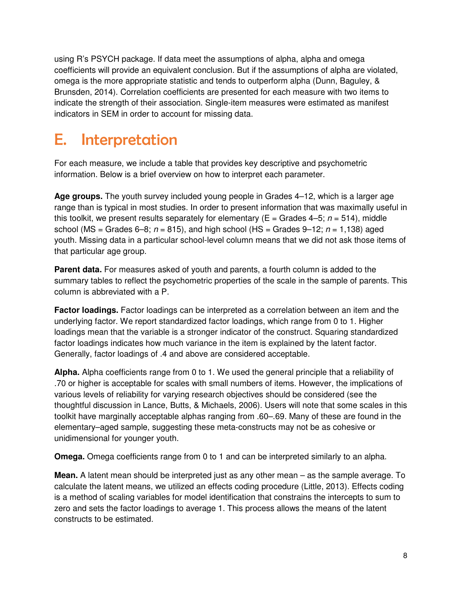using R's PSYCH package. If data meet the assumptions of alpha, alpha and omega coefficients will provide an equivalent conclusion. But if the assumptions of alpha are violated, omega is the more appropriate statistic and tends to outperform alpha (Dunn, Baguley, & Brunsden, 2014). Correlation coefficients are presented for each measure with two items to indicate the strength of their association. Single-item measures were estimated as manifest indicators in SEM in order to account for missing data.

### E. Interpretation

For each measure, we include a table that provides key descriptive and psychometric information. Below is a brief overview on how to interpret each parameter.

**Age groups.** The youth survey included young people in Grades 4–12, which is a larger age range than is typical in most studies. In order to present information that was maximally useful in this toolkit, we present results separately for elementary ( $E =$  Grades 4–5;  $n = 514$ ), middle school (MS = Grades 6–8;  $n = 815$ ), and high school (HS = Grades 9–12;  $n = 1,138$ ) aged youth. Missing data in a particular school-level column means that we did not ask those items of that particular age group.

**Parent data.** For measures asked of youth and parents, a fourth column is added to the summary tables to reflect the psychometric properties of the scale in the sample of parents. This column is abbreviated with a P.

**Factor loadings.** Factor loadings can be interpreted as a correlation between an item and the underlying factor. We report standardized factor loadings, which range from 0 to 1. Higher loadings mean that the variable is a stronger indicator of the construct. Squaring standardized factor loadings indicates how much variance in the item is explained by the latent factor. Generally, factor loadings of .4 and above are considered acceptable.

**Alpha.** Alpha coefficients range from 0 to 1. We used the general principle that a reliability of .70 or higher is acceptable for scales with small numbers of items. However, the implications of various levels of reliability for varying research objectives should be considered (see the thoughtful discussion in Lance, Butts, & Michaels, 2006). Users will note that some scales in this toolkit have marginally acceptable alphas ranging from .60–.69. Many of these are found in the elementary–aged sample, suggesting these meta-constructs may not be as cohesive or unidimensional for younger youth.

**Omega.** Omega coefficients range from 0 to 1 and can be interpreted similarly to an alpha.

**Mean.** A latent mean should be interpreted just as any other mean – as the sample average. To calculate the latent means, we utilized an effects coding procedure (Little, 2013). Effects coding is a method of scaling variables for model identification that constrains the intercepts to sum to zero and sets the factor loadings to average 1. This process allows the means of the latent constructs to be estimated.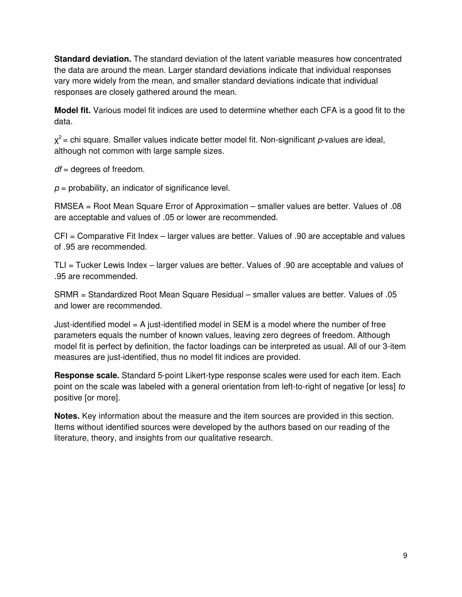**Standard deviation.** The standard deviation of the latent variable measures how concentrated the data are around the mean. Larger standard deviations indicate that individual responses vary more widely from the mean, and smaller standard deviations indicate that individual responses are closely gathered around the mean.

**Model fit.** Various model fit indices are used to determine whether each CFA is a good fit to the data.

 $\chi^2$  = chi square. Smaller values indicate better model fit. Non-significant p-values are ideal, although not common with large sample sizes.

 $df =$  degrees of freedom.

 $p =$  probability, an indicator of significance level.

RMSEA = Root Mean Square Error of Approximation – smaller values are better. Values of .08 are acceptable and values of .05 or lower are recommended.

CFI = Comparative Fit Index – larger values are better. Values of .90 are acceptable and values of .95 are recommended.

TLI = Tucker Lewis Index – larger values are better. Values of .90 are acceptable and values of .95 are recommended.

SRMR = Standardized Root Mean Square Residual – smaller values are better. Values of .05 and lower are recommended.

Just-identified model  $=$  A just-identified model in SEM is a model where the number of free parameters equals the number of known values, leaving zero degrees of freedom. Although model fit is perfect by definition, the factor loadings can be interpreted as usual. All of our 3-item measures are just-identified, thus no model fit indices are provided.

**Response scale.** Standard 5-point Likert-type response scales were used for each item. Each point on the scale was labeled with a general orientation from left-to-right of negative [or less] to positive [or more].

**Notes.** Key information about the measure and the item sources are provided in this section. Items without identified sources were developed by the authors based on our reading of the literature, theory, and insights from our qualitative research.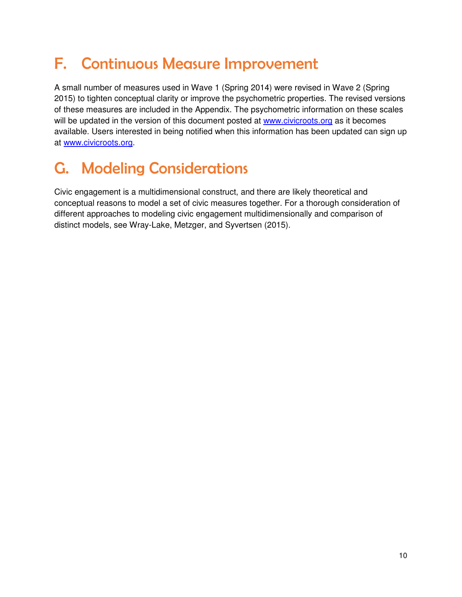# F. Continuous Measure Improvement

A small number of measures used in Wave 1 (Spring 2014) were revised in Wave 2 (Spring 2015) to tighten conceptual clarity or improve the psychometric properties. The revised versions of these measures are included in the Appendix. The psychometric information on these scales will be updated in the version of this document posted at **www.civicroots.org** as it becomes available. Users interested in being notified when this information has been updated can sign up at www.civicroots.org.

# G. Modeling Considerations

Civic engagement is a multidimensional construct, and there are likely theoretical and conceptual reasons to model a set of civic measures together. For a thorough consideration of different approaches to modeling civic engagement multidimensionally and comparison of distinct models, see Wray-Lake, Metzger, and Syvertsen (2015).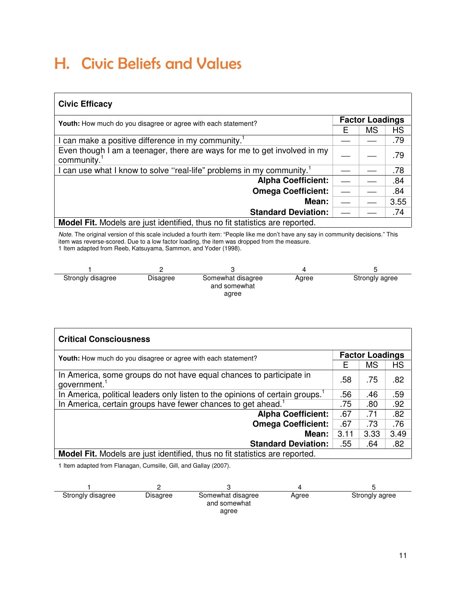### H. Civic Beliefs and Values

| <b>Civic Efficacy</b>                                                                               |                        |    |      |  |
|-----------------------------------------------------------------------------------------------------|------------------------|----|------|--|
| Youth: How much do you disagree or agree with each statement?                                       | <b>Factor Loadings</b> |    |      |  |
|                                                                                                     | Е                      | MS | НS   |  |
| I can make a positive difference in my community. <sup>1</sup>                                      |                        |    | .79  |  |
| Even though I am a teenager, there are ways for me to get involved in my<br>community. <sup>1</sup> |                        |    | .79  |  |
| I can use what I know to solve "real-life" problems in my community. <sup>1</sup>                   |                        |    | .78  |  |
| <b>Alpha Coefficient:</b>                                                                           |                        |    | .84  |  |
| <b>Omega Coefficient:</b>                                                                           |                        |    | .84  |  |
| Mean:                                                                                               |                        |    | 3.55 |  |
| <b>Standard Deviation:</b>                                                                          |                        |    | .74  |  |
| <b>Model Fit.</b> Models are just identified, thus no fit statistics are reported.                  |                        |    |      |  |

 Note. The original version of this scale included a fourth item: "People like me don't have any say in community decisions." This item was reverse-scored. Due to a low factor loading, the item was dropped from the measure. 1 Item adapted from Reeb, Katsuyama, Sammon, and Yoder (1998).

| Strongly disagree | Disagree | Somewhat disagree<br>and somewhat<br>agree | Agree | Strongly agree |
|-------------------|----------|--------------------------------------------|-------|----------------|

| <b>Critical Consciousness</b>                                                             |                        |      |      |  |
|-------------------------------------------------------------------------------------------|------------------------|------|------|--|
| <b>Youth:</b> How much do you disagree or agree with each statement?                      | <b>Factor Loadings</b> |      |      |  |
|                                                                                           | Е                      | MS   | HS   |  |
| In America, some groups do not have equal chances to participate in<br>government. $1$    | .58                    | .75  | .82  |  |
| In America, political leaders only listen to the opinions of certain groups. <sup>1</sup> | .56                    | .46  | .59  |  |
| In America, certain groups have fewer chances to get ahead. <sup>1</sup>                  | .75                    | .80  | .92  |  |
| <b>Alpha Coefficient:</b>                                                                 | .67                    | .71  | .82  |  |
| <b>Omega Coefficient:</b>                                                                 | .67                    | .73  | .76  |  |
| Mean:                                                                                     | 3.11                   | 3.33 | 3.49 |  |
| <b>Standard Deviation:</b>                                                                | .55                    | .64  | .82  |  |
| Model Fit. Models are just identified, thus no fit statistics are reported.               |                        |      |      |  |

1 Item adapted from Flanagan, Cumsille, Gill, and Gallay (2007).

| Strongly disagree | Disagree | Somewhat disagree<br>and somewhat | Agree | Strongly agree |
|-------------------|----------|-----------------------------------|-------|----------------|
|                   |          | agree                             |       |                |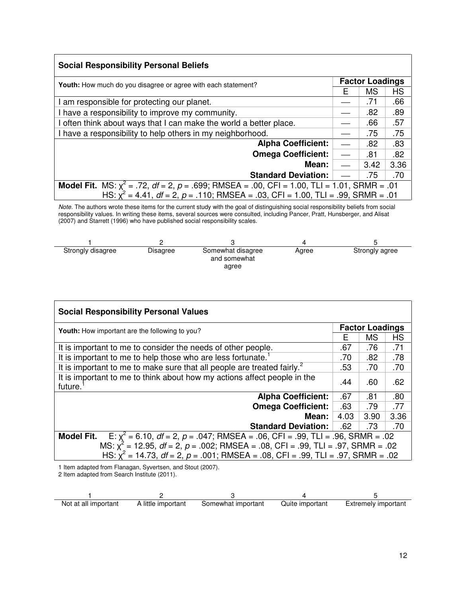| <b>Social Responsibility Personal Beliefs</b>                                                           |                          |      |           |  |
|---------------------------------------------------------------------------------------------------------|--------------------------|------|-----------|--|
| <b>Youth:</b> How much do you disagree or agree with each statement?                                    | <b>Factor Loadings</b>   |      |           |  |
|                                                                                                         | Е                        | MS   | <b>HS</b> |  |
| am responsible for protecting our planet.                                                               |                          | .71  | .66       |  |
| I have a responsibility to improve my community.                                                        |                          | .82  | .89       |  |
| I often think about ways that I can make the world a better place.                                      |                          | .66  | .57       |  |
| I have a responsibility to help others in my neighborhood.                                              |                          | .75  | .75       |  |
| <b>Alpha Coefficient:</b>                                                                               | $\overline{\phantom{0}}$ | .82  | .83       |  |
| <b>Omega Coefficient:</b>                                                                               | $\overline{\phantom{0}}$ | .81  | .82       |  |
| Mean:                                                                                                   |                          | 3.42 | 3.36      |  |
| <b>Standard Deviation:</b>                                                                              |                          | .75  | .70       |  |
| <b>Model Fit.</b> MS: $\chi^2$ = .72, df = 2, p = .699; RMSEA = .00, CFI = 1.00, TLI = 1.01, SRMR = .01 |                          |      |           |  |
| HS: $\chi^2$ = 4.41, df = 2, p = .110; RMSEA = .03, CFI = 1.00, TLI = .99, SRMR = .01                   |                          |      |           |  |

Note. The authors wrote these items for the current study with the goal of distinguishing social responsibility beliefs from social responsibility values. In writing these items, several sources were consulted, including Pancer, Pratt, Hunsberger, and Alisat (2007) and Starrett (1996) who have published social responsibility scales.

| Strongly disagree | Disagree | Somewhat disagree<br>and somewhat | Agree | Strongly agree |
|-------------------|----------|-----------------------------------|-------|----------------|
|                   |          | agree                             |       |                |

| <b>Social Responsibility Personal Values</b>                                                                                                                                    |      |           |                        |  |  |  |
|---------------------------------------------------------------------------------------------------------------------------------------------------------------------------------|------|-----------|------------------------|--|--|--|
| <b>Youth:</b> How important are the following to you?                                                                                                                           |      |           | <b>Factor Loadings</b> |  |  |  |
|                                                                                                                                                                                 | F    | <b>MS</b> | <b>HS</b>              |  |  |  |
| It is important to me to consider the needs of other people.                                                                                                                    | .67  | .76       | .71                    |  |  |  |
| It is important to me to help those who are less fortunate. <sup>1</sup>                                                                                                        | .70  | .82       | .78                    |  |  |  |
| It is important to me to make sure that all people are treated fairly. <sup>2</sup>                                                                                             | .53  | .70       | .70                    |  |  |  |
| It is important to me to think about how my actions affect people in the<br>future.                                                                                             | .44  | .60       | .62                    |  |  |  |
| <b>Alpha Coefficient:</b>                                                                                                                                                       | .67  | .81       | .80                    |  |  |  |
| <b>Omega Coefficient:</b>                                                                                                                                                       | .63  | .79       | .77                    |  |  |  |
| Mean:                                                                                                                                                                           | 4.03 | 3.90      | 3.36                   |  |  |  |
| <b>Standard Deviation:</b>                                                                                                                                                      | .62  | .73       | .70                    |  |  |  |
| E: $\chi^2$ = 6.10, df = 2, p = .047; RMSEA = .06, CFI = .99, TLI = .96, SRMR = .02<br><b>Model Fit.</b>                                                                        |      |           |                        |  |  |  |
| MS: $x^2$ = 12.95, df = 2, p = .002; RMSEA = .08, CFI = .99, TLI = .97, SRMR = .02<br>HS: $x^2 = 14.73$ , $df = 2$ , $p = .001$ ; RMSEA = .08, CFI = .99, TLI = .97, SRMR = .02 |      |           |                        |  |  |  |
| 1 Item adapted from Flanagan, Swertsen, and Stout (2007)                                                                                                                        |      |           |                        |  |  |  |

1 Item adapted from Flanagan, Syvertsen, and Stout (2007).

2 Item adapted from Search Institute (2011).

| Not at all important | A little important | Somewhat important | Quite important | <b>Extremely important</b> |
|----------------------|--------------------|--------------------|-----------------|----------------------------|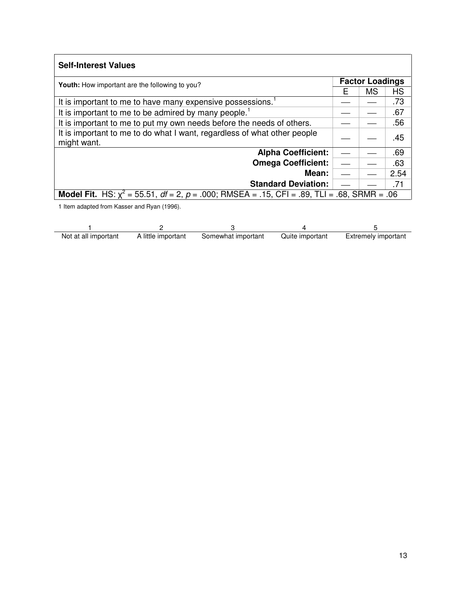| <b>Self-Interest Values</b>                                                                                 |   |                        |           |
|-------------------------------------------------------------------------------------------------------------|---|------------------------|-----------|
| <b>Youth:</b> How important are the following to you?                                                       |   | <b>Factor Loadings</b> |           |
|                                                                                                             | F | MS                     | <b>HS</b> |
| It is important to me to have many expensive possessions. <sup>1</sup>                                      |   |                        | .73       |
| It is important to me to be admired by many people. <sup>1</sup>                                            |   |                        | .67       |
| It is important to me to put my own needs before the needs of others.                                       |   |                        | .56       |
| It is important to me to do what I want, regardless of what other people<br>might want.                     |   |                        | .45       |
| <b>Alpha Coefficient:</b>                                                                                   |   |                        | .69       |
| <b>Omega Coefficient:</b>                                                                                   |   |                        | .63       |
| Mean:                                                                                                       |   |                        | 2.54      |
| <b>Standard Deviation:</b>                                                                                  |   |                        | .71       |
| <b>Model Fit.</b> HS: $x^2 = 55.51$ , $df = 2$ , $p = .000$ ; RMSEA = .15, CFI = .89, TLI = .68, SRMR = .06 |   |                        |           |
| 1 Item adapted from Kasser and Ryan (1996).                                                                 |   |                        |           |

| Not at all important | A little important | Somewhat important | Quite important | <b>Extremely important</b> |
|----------------------|--------------------|--------------------|-----------------|----------------------------|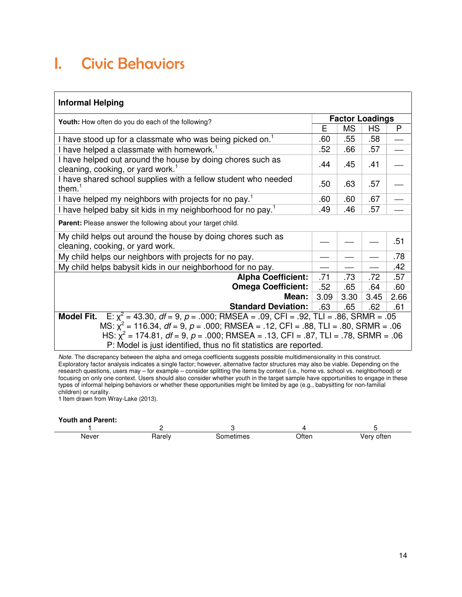### I. Civic Behaviors

### **Informal Helping**

| Youth: How often do you do each of the following?                                                           |      | <b>Factor Loadings</b> |      |      |
|-------------------------------------------------------------------------------------------------------------|------|------------------------|------|------|
|                                                                                                             | Е    | MS                     | HS   | P    |
| I have stood up for a classmate who was being picked on. <sup>1</sup>                                       | .60  | .55                    | .58  |      |
| I have helped a classmate with homework. <sup>1</sup>                                                       | .52  | .66                    | .57  |      |
| I have helped out around the house by doing chores such as<br>cleaning, cooking, or yard work. <sup>1</sup> | .44  | .45                    | .41  |      |
| I have shared school supplies with a fellow student who needed<br>them. $1$                                 | .50  | .63                    | .57  |      |
| I have helped my neighbors with projects for no pay. <sup>1</sup>                                           | .60  | .60                    | .67  |      |
| I have helped baby sit kids in my neighborhood for no pay. <sup>1</sup>                                     | .49  | .46                    | .57  |      |
| Parent: Please answer the following about your target child.                                                |      |                        |      |      |
| My child helps out around the house by doing chores such as<br>cleaning, cooking, or yard work.             |      |                        |      | .51  |
| My child helps our neighbors with projects for no pay.                                                      |      |                        |      | .78  |
| My child helps babysit kids in our neighborhood for no pay.                                                 |      |                        |      | .42  |
| <b>Alpha Coefficient:</b>                                                                                   | .71  | .73                    | .72  | .57  |
| <b>Omega Coefficient:</b>                                                                                   | .52  | .65                    | .64  | .60  |
| Mean:                                                                                                       | 3.09 | 3.30                   | 3.45 | 2.66 |
| <b>Standard Deviation:</b><br>.63<br>.65                                                                    |      |                        | .62  | .61  |
| E: $x^2$ = 43.30, $df$ = 9, $p$ = .000; RMSEA = .09, CFI = .92, TLI = .86, SRMR = .05<br><b>Model Fit.</b>  |      |                        |      |      |
| MS: $x^2$ = 116.34, $df = 9$ , $p = .000$ ; RMSEA = .12, CFI = .88, TLI = .80, SRMR = .06                   |      |                        |      |      |
| HS: $x^2$ = 174.81, $df$ = 9, $p$ = .000; RMSEA = .13, CFI = .87, TLI = .78, SRMR = .06                     |      |                        |      |      |
| P: Model is just identified, thus no fit statistics are reported.                                           |      |                        |      |      |

Note. The discrepancy between the alpha and omega coefficients suggests possible multidimensionality in this construct. Exploratory factor analysis indicates a single factor; however, alternative factor structures may also be viable. Depending on the research questions, users may – for example – consider splitting the items by context (i.e., home vs. school vs. neighborhood) or focusing on only one context. Users should also consider whether youth in the target sample have opportunities to engage in these types of informal helping behaviors or whether these opportunities might be limited by age (e.g., babysitting for non-familial children) or rurality.

1 Item drawn from Wray-Lake (2013).

#### **Youth and Parent:**

| Never | .<br>ultiv<br>. س. | netımes<br>$\sim$<br>50 V | วften | often<br>Verv |
|-------|--------------------|---------------------------|-------|---------------|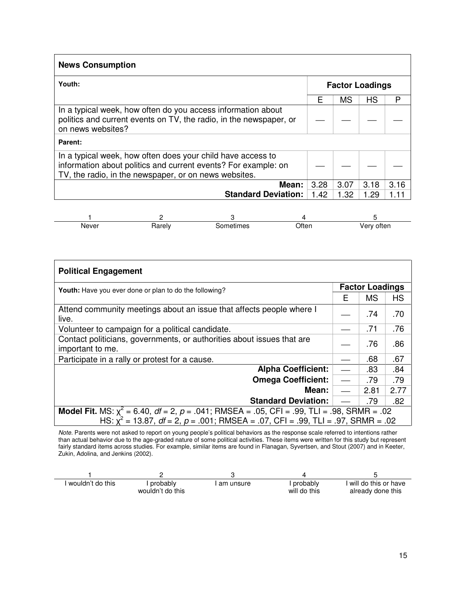| <b>News Consumption</b>                                                                                                                                                                |      |                        |           |      |
|----------------------------------------------------------------------------------------------------------------------------------------------------------------------------------------|------|------------------------|-----------|------|
| Youth:                                                                                                                                                                                 |      | <b>Factor Loadings</b> |           |      |
|                                                                                                                                                                                        | F    | <b>MS</b>              | <b>HS</b> | P    |
| In a typical week, how often do you access information about<br>politics and current events on TV, the radio, in the newspaper, or<br>on news websites?                                |      |                        |           |      |
| Parent:                                                                                                                                                                                |      |                        |           |      |
| In a typical week, how often does your child have access to<br>information about politics and current events? For example: on<br>TV, the radio, in the newspaper, or on news websites. |      |                        |           |      |
| Mean:                                                                                                                                                                                  | 3.28 | 3.07                   | 3.18      | 3.16 |
| <b>Standard Deviation:</b>                                                                                                                                                             | 1.42 | 1.32                   | 1.29      | 1.11 |

| Never | .<br>iarely | ∖tımes | Dften | often |
|-------|-------------|--------|-------|-------|

| <b>Political Engagement</b>                                                                                                                                                                             |                          |                        |           |
|---------------------------------------------------------------------------------------------------------------------------------------------------------------------------------------------------------|--------------------------|------------------------|-----------|
| <b>Youth:</b> Have you ever done or plan to do the following?                                                                                                                                           |                          | <b>Factor Loadings</b> |           |
|                                                                                                                                                                                                         | F                        | <b>MS</b>              | <b>HS</b> |
| Attend community meetings about an issue that affects people where I<br>live.                                                                                                                           |                          | .74                    | .70       |
| Volunteer to campaign for a political candidate.                                                                                                                                                        |                          | .71                    | .76       |
| Contact politicians, governments, or authorities about issues that are<br>important to me.                                                                                                              |                          | .76                    | .86       |
| Participate in a rally or protest for a cause.                                                                                                                                                          |                          | .68                    | .67       |
| <b>Alpha Coefficient:</b>                                                                                                                                                                               | $\overline{\phantom{0}}$ | .83                    | .84       |
| <b>Omega Coefficient:</b>                                                                                                                                                                               |                          | .79                    | .79       |
| Mean:                                                                                                                                                                                                   | $\overline{\phantom{0}}$ | 2.81                   | 2.77      |
| <b>Standard Deviation:</b>                                                                                                                                                                              |                          | .79                    | .82       |
| <b>Model Fit.</b> MS: $x^2 = 6.40$ , $df = 2$ , $p = .041$ ; RMSEA = .05, CFI = .99, TLI = .98, SRMR = .02<br>HS: $x^2 = 13.87$ , $df = 2$ , $p = .001$ ; RMSEA = .07, CFI = .99, TLI = .97, SRMR = .02 |                          |                        |           |

Note. Parents were not asked to report on young people's political behaviors as the response scale referred to intentions rather than actual behavior due to the age-graded nature of some political activities. These items were written for this study but represent fairly standard items across studies. For example, similar items are found in Flanagan, Syvertsen, and Stout (2007) and in Keeter, Zukin, Adolina, and Jenkins (2002).

| ' wouldn't do this | probably         | am unsure | probably     | will do this or have |
|--------------------|------------------|-----------|--------------|----------------------|
|                    | wouldn't do this |           | will do this | already done this    |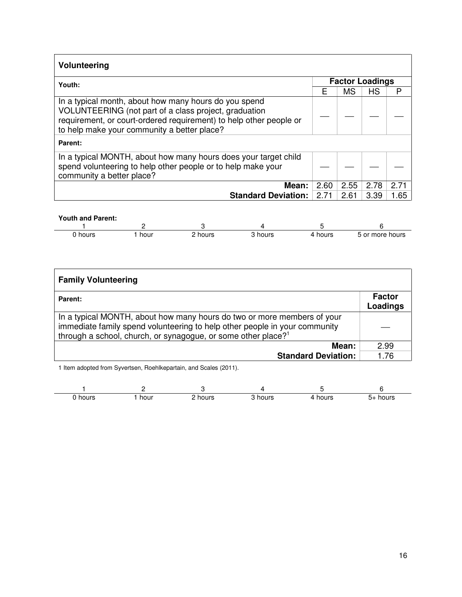| Volunteering                                                                                                                                                                                                                        |      |           |                        |      |
|-------------------------------------------------------------------------------------------------------------------------------------------------------------------------------------------------------------------------------------|------|-----------|------------------------|------|
| Youth:                                                                                                                                                                                                                              |      |           | <b>Factor Loadings</b> |      |
|                                                                                                                                                                                                                                     | Е    | <b>MS</b> | <b>HS</b>              | P    |
| In a typical month, about how many hours do you spend<br>VOLUNTEERING (not part of a class project, graduation<br>requirement, or court-ordered requirement) to help other people or<br>to help make your community a better place? |      |           |                        |      |
| Parent:                                                                                                                                                                                                                             |      |           |                        |      |
| In a typical MONTH, about how many hours does your target child<br>spend volunteering to help other people or to help make your<br>community a better place?                                                                        |      |           |                        |      |
| Mean:                                                                                                                                                                                                                               | 2.60 | 2.55      | 2.78                   | 2.71 |
| <b>Standard Deviation:</b>                                                                                                                                                                                                          | 2.71 | 2.61      | 3.39                   | 1.65 |
| <b>Youth and Parent:</b><br>$\overline{A}$<br>-1                                                                                                                                                                                    |      |           |                        |      |

| hours | hour | hours<br>__ | hours | hours | more<br>hours<br>.<br>n |
|-------|------|-------------|-------|-------|-------------------------|

| <b>Family Volunteering</b>                                                                                                                                                                                                         |                           |
|------------------------------------------------------------------------------------------------------------------------------------------------------------------------------------------------------------------------------------|---------------------------|
| Parent:                                                                                                                                                                                                                            | <b>Factor</b><br>Loadings |
| In a typical MONTH, about how many hours do two or more members of your<br>immediate family spend volunteering to help other people in your community<br>through a school, church, or synagogue, or some other place? <sup>1</sup> |                           |
| Mean:                                                                                                                                                                                                                              | 2.99                      |
| <b>Standard Deviation:</b>                                                                                                                                                                                                         | 1.76                      |

1 Item adopted from Syvertsen, Roehlkepartain, and Scales (2011).

| holirs | hour<br>___ | hour<br>. | ำours | hours<br>___ | hours<br>5-<br>$\cdot$ |
|--------|-------------|-----------|-------|--------------|------------------------|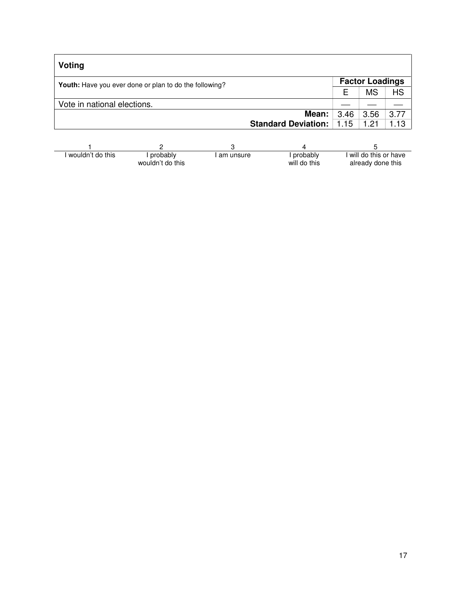| Voting                                                 |      |                        |           |
|--------------------------------------------------------|------|------------------------|-----------|
| Youth: Have you ever done or plan to do the following? |      | <b>Factor Loadings</b> |           |
|                                                        | F    | <b>MS</b>              | <b>HS</b> |
| Vote in national elections.                            |      |                        |           |
| Mean:                                                  | 3.46 | 3.56                   | 3.77      |
| <b>Standard Deviation:</b>                             | 1.15 | 1.21                   | 1.13      |
|                                                        |      |                        |           |
|                                                        |      |                        |           |

| wouldn't do this | probably         | I am unsure | probably     | I will do this or have |
|------------------|------------------|-------------|--------------|------------------------|
|                  | wouldn't do this |             | will do this | already done this      |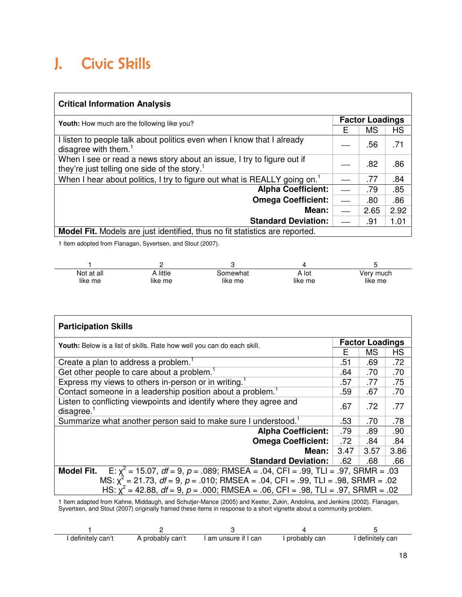## J. Civic Skills

| <b>Critical Information Analysis</b>                                                                                               |                        |      |           |  |
|------------------------------------------------------------------------------------------------------------------------------------|------------------------|------|-----------|--|
| <b>Youth:</b> How much are the following like you?                                                                                 | <b>Factor Loadings</b> |      |           |  |
|                                                                                                                                    | Е                      | MS   | <b>HS</b> |  |
| I listen to people talk about politics even when I know that I already<br>disagree with them. $1$                                  |                        | .56  | .71       |  |
| When I see or read a news story about an issue, I try to figure out if<br>they're just telling one side of the story. <sup>1</sup> |                        | .82  | .86       |  |
| When I hear about politics, I try to figure out what is REALLY going on. <sup>1</sup>                                              |                        | .77  | .84       |  |
| <b>Alpha Coefficient:</b>                                                                                                          |                        | .79  | .85       |  |
| <b>Omega Coefficient:</b>                                                                                                          |                        | .80  | .86       |  |
| Mean:                                                                                                                              |                        | 2.65 | 2.92      |  |
| <b>Standard Deviation:</b>                                                                                                         |                        | .91  | 1.01      |  |
| Model Fit. Models are just identified, thus no fit statistics are reported.                                                        |                        |      |           |  |

1 Item adopted from Flanagan, Syvertsen, and Stout (2007).

| Not at all | little  | Somewhat | A lot   | Very much |
|------------|---------|----------|---------|-----------|
| like me    | like me | like me  | like me | like me   |

| <b>Participation Skills</b>                                                                                             |                        |      |      |  |
|-------------------------------------------------------------------------------------------------------------------------|------------------------|------|------|--|
| Youth: Below is a list of skills. Rate how well you can do each skill.                                                  | <b>Factor Loadings</b> |      |      |  |
|                                                                                                                         | F                      | ΜS   | HS   |  |
| Create a plan to address a problem.                                                                                     | .51                    | .69  | .72  |  |
| Get other people to care about a problem. <sup>1</sup>                                                                  | .64                    | .70  | .70  |  |
| Express my views to others in-person or in writing. <sup>1</sup>                                                        | .57                    | .77  | .75  |  |
| Contact someone in a leadership position about a problem. <sup>1</sup>                                                  | .59                    | .67  | .70  |  |
| Listen to conflicting viewpoints and identify where they agree and<br>disagree.                                         | .67                    | .72  | .77  |  |
| Summarize what another person said to make sure I understood. <sup>1</sup>                                              | .53                    | .70  | .78  |  |
| <b>Alpha Coefficient:</b>                                                                                               | .79                    | .89  | .90  |  |
| <b>Omega Coefficient:</b>                                                                                               | .72                    | .84  | .84  |  |
| Mean:                                                                                                                   | 3.47                   | 3.57 | 3.86 |  |
| <b>Standard Deviation:</b>                                                                                              | .62                    | .68  | .66  |  |
| <b>Model Fit.</b><br>E: $\chi^2$ = 15.07, <i>df</i> = 9, <i>p</i> = .089; RMSEA = .04, CFI = .99, TLI = .97, SRMR = .03 |                        |      |      |  |
| MS: $\chi^2$ = 21.73, df = 9, p = .010; RMSEA = .04, CFI = .99, TLI = .98, SRMR = .02                                   |                        |      |      |  |
| HS: $x^2 = 42.88$ , $df = 9$ , $p = .000$ ; RMSEA = .06, CFI = .98, TLI = .97, SRMR = .02                               |                        |      |      |  |

1 Item adapted from Kahne, Middaugh, and Schutjer-Mance (2005) and Keeter, Zukin, Andolina, and Jenkins (2002). Flanagan, Syvertsen, and Stout (2007) originally framed these items in response to a short vignette about a community problem.

| definitely can't | A probably can't | I am unsure if I can | probably can | definitely can |
|------------------|------------------|----------------------|--------------|----------------|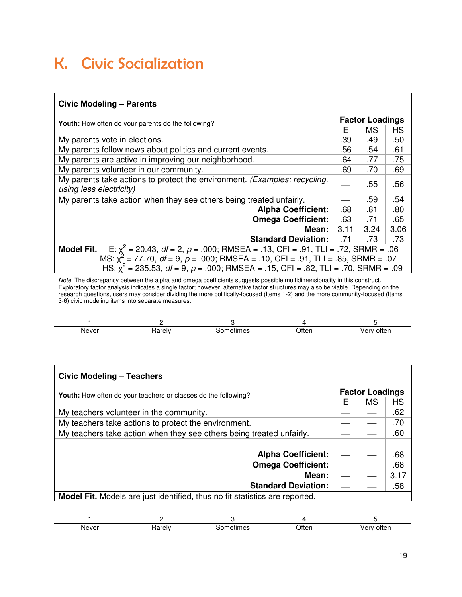### K. Civic Socialization

#### **Civic Modeling – Parents Youth:** How often do your parents do the following? **Factor Loadings**<br> **Factor Loadings**<br> **F** | MS | HS  $MS$ My parents vote in elections. **Example 20 in the Contract of Contract 20 and 20 in the Contract 20 in the Contract 20 in the Contract 20 in the Contract 20 in the Contract 20 in the Contract 20 in the Contract 20 in the Co** My parents follow news about politics and current events. **.56** .54 .61 My parents are active in improving our neighborhood.  $\vert$  .64  $\vert$  .77  $\vert$  .75 My parents volunteer in our community. My parents volunteer in our community. My parents take actions to protect the environment. *(Examples: recycling,*  $\vert$  \_\_  $\vert$  .55  $\vert$  .56 .56 My parents take action when they see others being treated unfairly.  $\Box$   $\Box$  .59  $\Box$  .54 **Alpha Coefficient:** 68 .81 .80 **Omega Coefficient:** 63 .71 .65 **Mean:**  $3.11$   $3.24$   $3.06$ **Standard Deviation:** .71 .73 .73 **Model Fit.**  $E: \chi^2$  $= 20.43, df = 2, p = .000; RMSEA = .13, CFI = .91, TLI = .72, SRMR = .06$ MS:  $\chi^2$  = 77.70, df = 9, p = .000; RMSEA = .10, CFI = .91, TLI = .85, SRMR = .07 HS:  $\chi^2$  = 235.53, *df* = 9, *p* = .000; RMSEA = .15, CFI = .82, TLI = .70, SRMR = .09

Note. The discrepancy between the alpha and omega coefficients suggests possible multidimensionality in this construct. Exploratory factor analysis indicates a single factor; however, alternative factor structures may also be viable. Depending on the research questions, users may consider dividing the more politically-focused (Items 1-2) and the more community-focused (Items 3-6) civic modeling items into separate measures.

| Never | - - - | neumes | )fter       | ---- |
|-------|-------|--------|-------------|------|
| _____ |       | ___    | - - - - - - | пен  |

| <b>Civic Modeling - Teachers</b>                                                   |   |                        |      |
|------------------------------------------------------------------------------------|---|------------------------|------|
| <b>Youth:</b> How often do your teachers or classes do the following?              |   | <b>Factor Loadings</b> |      |
|                                                                                    | F | <b>MS</b>              | HS   |
| My teachers volunteer in the community.                                            |   |                        | .62  |
| My teachers take actions to protect the environment.                               |   |                        | .70  |
| My teachers take action when they see others being treated unfairly.               |   |                        | .60  |
|                                                                                    |   |                        |      |
| <b>Alpha Coefficient:</b>                                                          |   |                        | .68  |
| <b>Omega Coefficient:</b>                                                          |   |                        | .68  |
| <b>Mean:</b>                                                                       |   |                        | 3.17 |
| <b>Standard Deviation:</b>                                                         |   |                        | .58  |
| <b>Model Fit.</b> Models are just identified, thus no fit statistics are reported. |   |                        |      |
|                                                                                    |   |                        |      |
|                                                                                    |   |                        |      |

 $1$  2 3 4 5 Never Rarely Sometimes Often Very often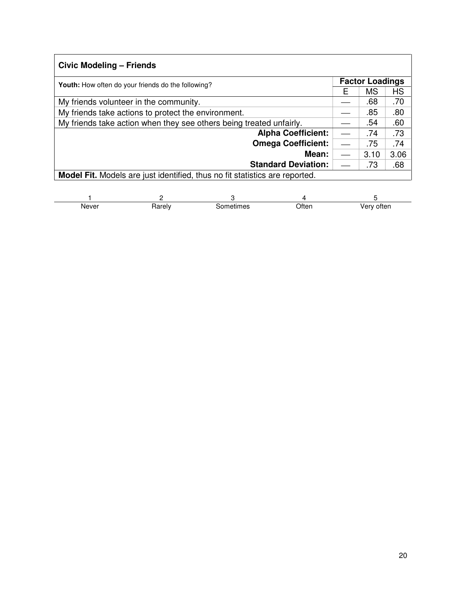| Civic Modeling - Friends                                                    |   |                        |           |
|-----------------------------------------------------------------------------|---|------------------------|-----------|
| <b>Youth:</b> How often do your friends do the following?                   |   | <b>Factor Loadings</b> |           |
|                                                                             | Е | <b>MS</b>              | <b>HS</b> |
| My friends volunteer in the community.                                      |   | .68                    | .70       |
| My friends take actions to protect the environment.                         |   | .85                    | .80       |
| My friends take action when they see others being treated unfairly.         |   | .54                    | .60       |
| <b>Alpha Coefficient:</b>                                                   |   | .74                    | .73       |
| <b>Omega Coefficient:</b>                                                   |   | .75                    | .74       |
| Mean:                                                                       |   | 3.10                   | 3.06      |
| <b>Standard Deviation:</b>                                                  |   | .73                    | .68       |
| Model Fit. Models are just identified, thus no fit statistics are reported. |   |                        |           |

| Never | ำrelv<br>naie | netımes<br>n۳<br>. | วften | otten<br>.<br>__ |
|-------|---------------|--------------------|-------|------------------|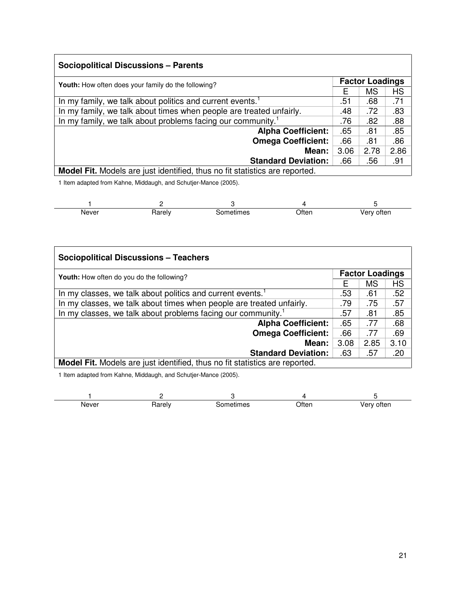| <b>Sociopolitical Discussions - Parents</b>                                        |      |                        |           |
|------------------------------------------------------------------------------------|------|------------------------|-----------|
| <b>Youth:</b> How often does your family do the following?                         |      | <b>Factor Loadings</b> |           |
|                                                                                    | Е    | <b>MS</b>              | <b>HS</b> |
| In my family, we talk about politics and current events.                           | .51  | .68                    | .71       |
| In my family, we talk about times when people are treated unfairly.                | .48  | .72                    | .83       |
| In my family, we talk about problems facing our community. <sup>1</sup>            | .76  | .82                    | .88       |
| <b>Alpha Coefficient:</b>                                                          | .65  | .81                    | .85       |
| <b>Omega Coefficient:</b>                                                          | .66  | .81                    | .86       |
| Mean:                                                                              | 3.06 | 2.78                   | 2.86      |
| <b>Standard Deviation:</b>                                                         | .66  | .56                    | .91       |
| <b>Model Fit.</b> Models are just identified, thus no fit statistics are reported. |      |                        |           |

1 Item adapted from Kahne, Middaugh, and Schutjer-Mance (2005).

| Never | karely | netımes<br>. SOM | Often | ∨ery often |
|-------|--------|------------------|-------|------------|

| <b>Sociopolitical Discussions - Teachers</b>                                |      |                        |      |  |  |
|-----------------------------------------------------------------------------|------|------------------------|------|--|--|
| Youth: How often do you do the following?                                   |      | <b>Factor Loadings</b> |      |  |  |
|                                                                             |      | <b>MS</b>              | HS   |  |  |
| In my classes, we talk about politics and current events. <sup>1</sup>      | .53  | .61                    | .52  |  |  |
| In my classes, we talk about times when people are treated unfairly.        |      | .75                    | .57  |  |  |
| In my classes, we talk about problems facing our community. <sup>1</sup>    | .57  | .81                    | .85  |  |  |
| <b>Alpha Coefficient:</b>                                                   |      | .77                    | .68  |  |  |
| <b>Omega Coefficient:</b>                                                   | .66  | .77                    | .69  |  |  |
| Mean:                                                                       | 3.08 | 2.85                   | 3.10 |  |  |
| <b>Standard Deviation:</b>                                                  | .63  | .57                    | .20  |  |  |
| Model Fit. Models are just identified, thus no fit statistics are reported. |      |                        |      |  |  |

1 Item adapted from Kahne, Middaugh, and Schutjer-Mance (2005).

| Never<br>. | .<br>, , , , , , | .nr<br>neumes | Otten | otten<br>1 V<br>$\sim$ |
|------------|------------------|---------------|-------|------------------------|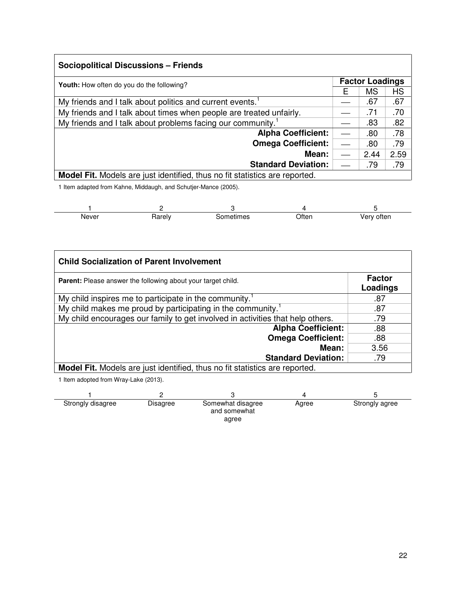| <b>Sociopolitical Discussions - Friends</b>                                 |                        |           |      |  |
|-----------------------------------------------------------------------------|------------------------|-----------|------|--|
| <b>Youth:</b> How often do you do the following?                            | <b>Factor Loadings</b> |           |      |  |
|                                                                             |                        | <b>MS</b> | HS   |  |
| My friends and I talk about politics and current events. <sup>1</sup>       |                        | .67       | .67  |  |
| My friends and I talk about times when people are treated unfairly.         |                        | .71       | .70  |  |
| My friends and I talk about problems facing our community. <sup>1</sup>     |                        | .83       | .82  |  |
| <b>Alpha Coefficient:</b>                                                   |                        | .80       | .78  |  |
| <b>Omega Coefficient:</b>                                                   |                        | .80       | .79  |  |
| Mean:                                                                       |                        | 2.44      | 2.59 |  |
| <b>Standard Deviation:</b>                                                  |                        | .79       | .79  |  |
| Model Fit. Models are just identified, thus no fit statistics are reported. |                        |           |      |  |

1 Item adapted from Kahne, Middaugh, and Schutjer-Mance (2005).

| Never<br>_____ | اarely. | netımes<br>.r 11 | Often | often<br>۱an<br>1 W |
|----------------|---------|------------------|-------|---------------------|

| <b>Child Socialization of Parent Involvement</b>                                   |                           |
|------------------------------------------------------------------------------------|---------------------------|
| <b>Parent:</b> Please answer the following about your target child.                | <b>Factor</b><br>Loadings |
| My child inspires me to participate in the community. <sup>1</sup>                 | .87                       |
| My child makes me proud by participating in the community. <sup>1</sup>            | .87                       |
| My child encourages our family to get involved in activities that help others.     | .79                       |
| <b>Alpha Coefficient:</b>                                                          | .88                       |
| <b>Omega Coefficient:</b>                                                          | .88                       |
| <b>Mean:</b>                                                                       | 3.56                      |
| <b>Standard Deviation:</b>                                                         | .79                       |
| <b>Model Fit.</b> Models are just identified, thus no fit statistics are reported. |                           |
| 1 Item adopted from Wray-Lake (2013)                                               |                           |

1 Item adopted from Wray-Lake (2013).

| Strongly disagree | Disagree | Somewhat disagree<br>and somewhat | Agree | Strongly agree |
|-------------------|----------|-----------------------------------|-------|----------------|
|                   |          | agree                             |       |                |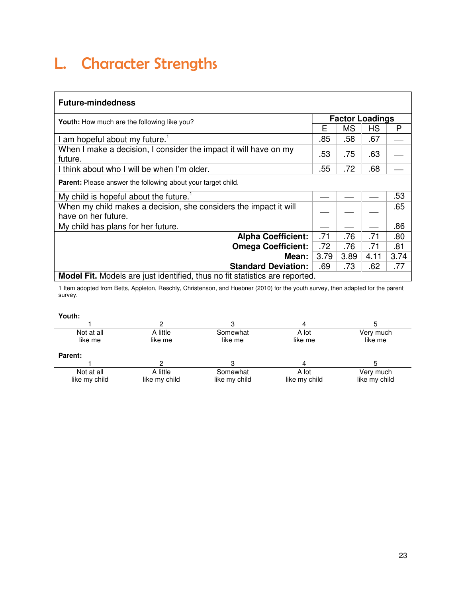# L. Character Strengths

### **Future-mindedness**

| <b>Youth:</b> How much are the following like you?                                      | <b>Factor Loadings</b> |           |           |      |  |
|-----------------------------------------------------------------------------------------|------------------------|-----------|-----------|------|--|
|                                                                                         | Е                      | <b>MS</b> | <b>HS</b> | P    |  |
| am hopeful about my future.                                                             | .85                    | .58       | .67       |      |  |
| When I make a decision, I consider the impact it will have on my<br>future.             | .53                    | .75       | .63       |      |  |
| I think about who I will be when I'm older.                                             | .55                    | .72       | .68       |      |  |
| Parent: Please answer the following about your target child.                            |                        |           |           |      |  |
| My child is hopeful about the future. <sup>1</sup>                                      |                        |           |           | .53  |  |
| When my child makes a decision, she considers the impact it will<br>have on her future. |                        |           |           | .65  |  |
| My child has plans for her future.                                                      |                        |           |           | .86  |  |
| <b>Alpha Coefficient:</b>                                                               | .71                    | .76       | .71       | .80  |  |
| <b>Omega Coefficient:</b>                                                               | .72                    | .76       | .71       | .81  |  |
| Mean:                                                                                   | 3.79                   | 3.89      | 4.11      | 3.74 |  |
| <b>Standard Deviation:</b>                                                              | .69                    | .73       | .62       | .77  |  |
| <b>Model Fit.</b> Models are just identified, thus no fit statistics are reported.      |                        |           |           |      |  |

1 Item adopted from Betts, Appleton, Reschly, Christenson, and Huebner (2010) for the youth survey, then adapted for the parent survey.

| Not at all     | A little      | Somewhat      | A lot         | Very much     |
|----------------|---------------|---------------|---------------|---------------|
| like me        | like me       | like me       | like me       | like me       |
| <b>Parent:</b> |               |               |               |               |
|                |               |               |               |               |
| Not at all     | A little      | Somewhat      | A lot         | Very much     |
| like my child  | like my child | like my child | like my child | like my child |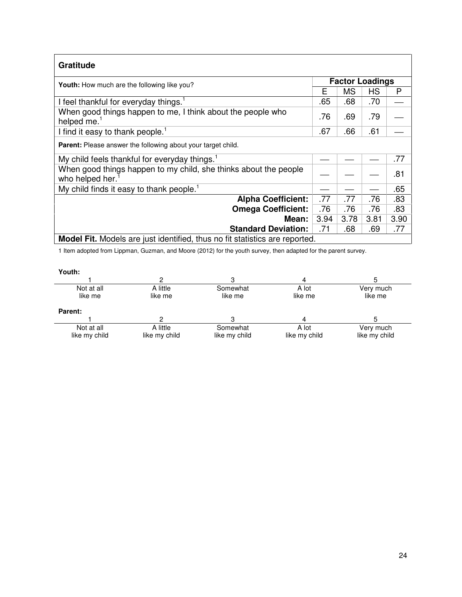| Gratitude                                                                           |                        |      |      |      |
|-------------------------------------------------------------------------------------|------------------------|------|------|------|
| <b>Youth:</b> How much are the following like you?                                  | <b>Factor Loadings</b> |      |      |      |
|                                                                                     |                        | MS   | HS   | P    |
| I feel thankful for everyday things. <sup>1</sup>                                   | .65                    | .68  | .70  |      |
| When good things happen to me, I think about the people who<br>helped me. $1$       | .76                    | .69  | .79  |      |
| I find it easy to thank people. <sup>1</sup>                                        | .67                    | .66  | .61  |      |
| Parent: Please answer the following about your target child.                        |                        |      |      |      |
| My child feels thankful for everyday things. <sup>1</sup>                           |                        |      |      | .77  |
| When good things happen to my child, she thinks about the people<br>who helped her. |                        |      |      | .81  |
| My child finds it easy to thank people. <sup>1</sup>                                |                        |      |      | .65  |
| <b>Alpha Coefficient:</b>                                                           | .77                    | .77  | .76  | .83  |
| <b>Omega Coefficient:</b>                                                           | .76                    | .76  | .76  | .83  |
| Mean:                                                                               | 3.94                   | 3.78 | 3.81 | 3.90 |
| <b>Standard Deviation:</b>                                                          | .71                    | .68  | .69  | .77  |
| Model Fit. Models are just identified, thus no fit statistics are reported.         |                        |      |      |      |

1 Item adopted from Lippman, Guzman, and Moore (2012) for the youth survey, then adapted for the parent survey.

| × | I<br>e e |  |
|---|----------|--|

| Youth:         |               |               |               |               |
|----------------|---------------|---------------|---------------|---------------|
|                |               |               |               |               |
| Not at all     | A little      | Somewhat      | A lot         | Very much     |
| like me        | like me       | like me       | like me       | like me       |
| <b>Parent:</b> |               |               |               |               |
|                |               |               | 4             |               |
| Not at all     | A little      | Somewhat      | A lot         | Very much     |
| like my child  | like my child | like my child | like my child | like my child |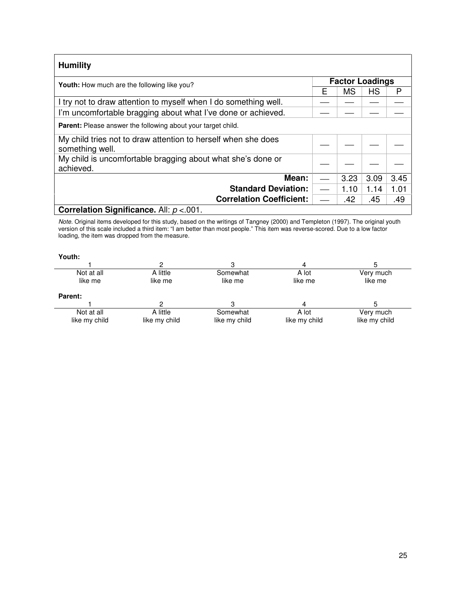| <b>Humility</b>                                                                  |   |                        |      |      |
|----------------------------------------------------------------------------------|---|------------------------|------|------|
| <b>Youth:</b> How much are the following like you?                               |   | <b>Factor Loadings</b> |      |      |
|                                                                                  | F | <b>MS</b>              | НS   | P    |
| I try not to draw attention to myself when I do something well.                  |   |                        |      |      |
| I'm uncomfortable bragging about what I've done or achieved.                     |   |                        |      |      |
| <b>Parent:</b> Please answer the following about your target child.              |   |                        |      |      |
| My child tries not to draw attention to herself when she does<br>something well. |   |                        |      |      |
| My child is uncomfortable bragging about what she's done or<br>achieved.         |   |                        |      |      |
| Mean:                                                                            |   | 3.23                   | 3.09 | 3.45 |
| <b>Standard Deviation:</b>                                                       |   | 1.10                   | 1.14 | 1.01 |
| <b>Correlation Coefficient:</b>                                                  |   | .42                    | .45  | .49  |
| Correlation Significance. All: $p < 001$ .                                       |   |                        |      |      |

Note. Original items developed for this study, based on the writings of Tangney (2000) and Templeton (1997). The original youth version of this scale included a third item: "I am better than most people." This item was reverse-scored. Due to a low factor loading, the item was dropped from the measure.

| Iτι<br>IJ |  |
|-----------|--|
|           |  |

|               |               | 4             |               |
|---------------|---------------|---------------|---------------|
| A little      | Somewhat      | A lot         | Very much     |
| like me       | like me       | like me       | like me       |
|               |               |               |               |
|               |               | 4             |               |
| A little      | Somewhat      | A lot         | Very much     |
| like my child | like my child | like my child | like my child |
|               |               |               |               |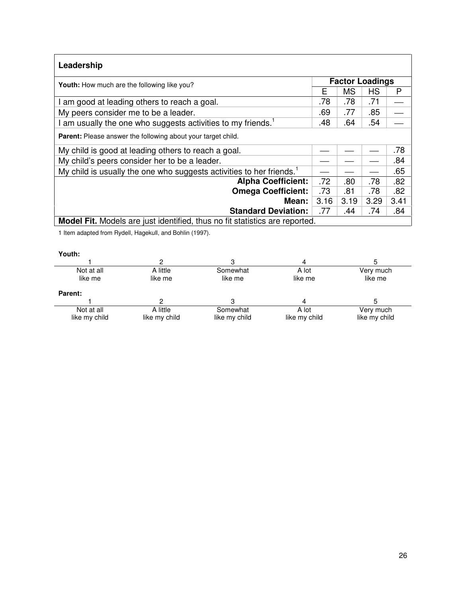| Leadership                                                                         |                        |           |      |      |
|------------------------------------------------------------------------------------|------------------------|-----------|------|------|
| <b>Youth:</b> How much are the following like you?                                 | <b>Factor Loadings</b> |           |      |      |
|                                                                                    | Е                      | <b>MS</b> | HS   | P    |
| am good at leading others to reach a goal.                                         | .78                    | .78       | .71  |      |
| My peers consider me to be a leader.                                               | .69                    | .77       | .85  |      |
| am usually the one who suggests activities to my friends. <sup>1</sup>             | .48                    | .64       | .54  |      |
| <b>Parent:</b> Please answer the following about your target child.                |                        |           |      |      |
| My child is good at leading others to reach a goal.                                |                        |           |      | .78  |
| My child's peers consider her to be a leader.                                      |                        |           |      | .84  |
| My child is usually the one who suggests activities to her friends. <sup>1</sup>   |                        |           |      | .65  |
| <b>Alpha Coefficient:</b>                                                          | .72                    | .80       | .78  | .82  |
| <b>Omega Coefficient:</b>                                                          | .73                    | .81       | .78  | .82  |
| Mean:                                                                              | 3.16                   | 3.19      | 3.29 | 3.41 |
| <b>Standard Deviation:</b>                                                         | .77                    | .44       | .74  | .84  |
| <b>Model Fit.</b> Models are just identified, thus no fit statistics are reported. |                        |           |      |      |

1 Item adapted from Rydell, Hagekull, and Bohlin (1997).

| Not at all    | A little      | Somewhat      | A lot         | Very much     |
|---------------|---------------|---------------|---------------|---------------|
| like me       | like me       | like me       | like me       | like me       |
| Parent:       |               |               |               |               |
|               |               |               |               |               |
| Not at all    | A little      | Somewhat      | A lot         | Very much     |
| like my child | like my child | like my child | like my child | like my child |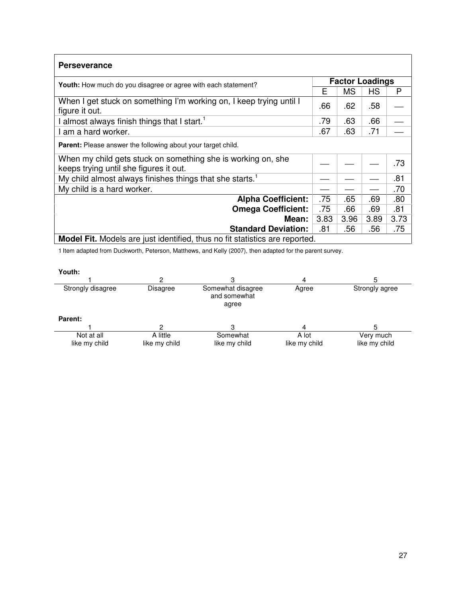| <b>Perseverance</b>                                                                                    |      |                        |      |      |  |
|--------------------------------------------------------------------------------------------------------|------|------------------------|------|------|--|
| <b>Youth:</b> How much do you disagree or agree with each statement?                                   |      | <b>Factor Loadings</b> |      |      |  |
|                                                                                                        | Е    | <b>MS</b>              | HS   | P    |  |
| When I get stuck on something I'm working on, I keep trying until I<br>figure it out.                  | .66  | .62                    | .58  |      |  |
| almost always finish things that I start. <sup>1</sup>                                                 | .79  | .63                    | .66  |      |  |
| am a hard worker.                                                                                      | .67  | .63                    | .71  |      |  |
| Parent: Please answer the following about your target child.                                           |      |                        |      |      |  |
| When my child gets stuck on something she is working on, she<br>keeps trying until she figures it out. |      |                        |      | .73  |  |
| My child almost always finishes things that she starts. <sup>1</sup>                                   |      |                        |      | .81  |  |
| My child is a hard worker.                                                                             |      |                        |      | .70  |  |
| <b>Alpha Coefficient:</b>                                                                              | .75  | .65                    | .69  | .80  |  |
| <b>Omega Coefficient:</b>                                                                              | .75  | .66                    | .69  | .81  |  |
| Mean:                                                                                                  | 3.83 | 3.96                   | 3.89 | 3.73 |  |
| <b>Standard Deviation:</b>                                                                             | .81  | .56                    | .56  | .75  |  |
| <b>Model Fit.</b> Models are just identified, thus no fit statistics are reported.                     |      |                        |      |      |  |

1 Item adapted from Duckworth, Peterson, Matthews, and Kelly (2007), then adapted for the parent survey.

| Youth:                      |                           |                                            |                        |                            |
|-----------------------------|---------------------------|--------------------------------------------|------------------------|----------------------------|
|                             | ◠                         |                                            | 4                      |                            |
| Strongly disagree           | <b>Disagree</b>           | Somewhat disagree<br>and somewhat<br>agree | Agree                  | Strongly agree             |
| <b>Parent:</b>              |                           |                                            |                        |                            |
|                             |                           |                                            | 4                      |                            |
| Not at all<br>like my child | A little<br>like my child | Somewhat<br>like my child                  | A lot<br>like my child | Very much<br>like my child |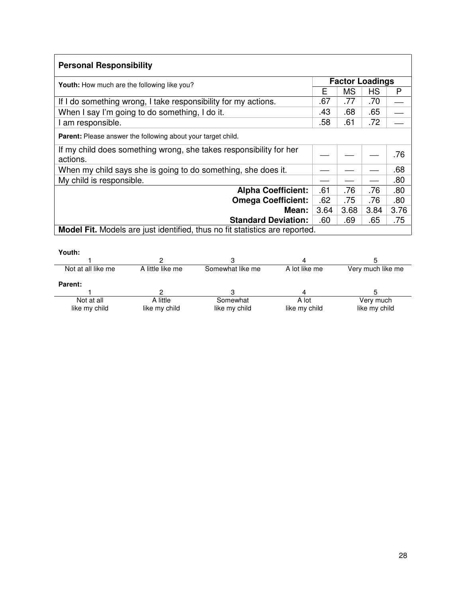| <b>Personal Responsibility</b>                                                 |      |           |                        |      |
|--------------------------------------------------------------------------------|------|-----------|------------------------|------|
| <b>Youth:</b> How much are the following like you?                             |      |           | <b>Factor Loadings</b> |      |
|                                                                                | Е    | <b>MS</b> | НS                     | P    |
| If I do something wrong, I take responsibility for my actions.                 | .67  | .77       | .70                    |      |
| When I say I'm going to do something, I do it.                                 | .43  | .68       | .65                    |      |
| I am responsible.                                                              | .58  | .61       | .72                    |      |
| <b>Parent:</b> Please answer the following about your target child.            |      |           |                        |      |
| If my child does something wrong, she takes responsibility for her<br>actions. |      |           |                        | .76  |
| When my child says she is going to do something, she does it.                  |      |           |                        | .68  |
| My child is responsible.                                                       |      |           |                        | .80  |
| <b>Alpha Coefficient:</b>                                                      | .61  | .76       | .76                    | .80  |
| <b>Omega Coefficient:</b>                                                      | .62  | .75       | .76                    | .80  |
| Mean:                                                                          | 3.64 | 3.68      | 3.84                   | 3.76 |
| <b>Standard Deviation:</b>                                                     | .60  | .69       | .65                    | .75  |
| Model Fit. Models are just identified, thus no fit statistics are reported.    |      |           |                        |      |

| outh: |  |  |
|-------|--|--|
|       |  |  |

| Youth:             |                  |                  |               |                   |
|--------------------|------------------|------------------|---------------|-------------------|
|                    |                  |                  |               |                   |
| Not at all like me | A little like me | Somewhat like me | A lot like me | Very much like me |
| <b>Parent:</b>     |                  |                  |               |                   |
|                    |                  |                  |               |                   |
| Not at all         | A little         | Somewhat         | A lot         | Very much         |
| like my child      | like my child    | like my child    | like my child | like my child     |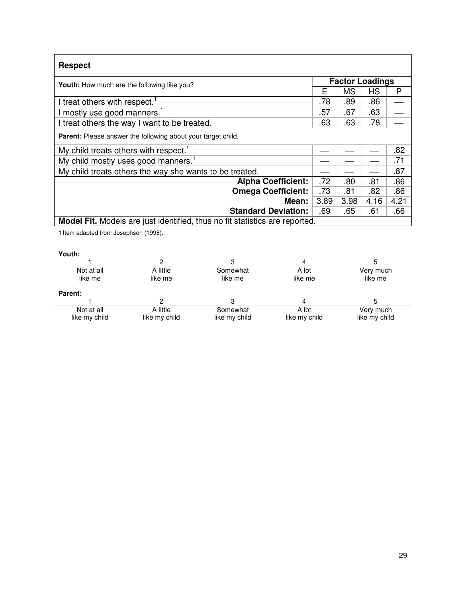| <b>Respect</b>                                                                     |                        |           |      |      |
|------------------------------------------------------------------------------------|------------------------|-----------|------|------|
| <b>Youth:</b> How much are the following like you?                                 | <b>Factor Loadings</b> |           |      |      |
|                                                                                    |                        | <b>MS</b> | HS   | P    |
| I treat others with respect. <sup>1</sup>                                          | .78                    | .89       | .86  |      |
| I mostly use good manners. <sup>1</sup>                                            | .57                    | .67       | .63  |      |
| I treat others the way I want to be treated.                                       | .63                    | .63       | .78  |      |
| <b>Parent:</b> Please answer the following about your target child.                |                        |           |      |      |
| My child treats others with respect. <sup>1</sup>                                  |                        |           |      | .82  |
| My child mostly uses good manners. <sup>1</sup>                                    |                        |           |      | .71  |
| My child treats others the way she wants to be treated.                            |                        |           |      | .87  |
| <b>Alpha Coefficient:</b>                                                          | .72                    | .80       | .81  | .86  |
| <b>Omega Coefficient:</b>                                                          | .73                    | .81       | .82  | .86  |
| Mean:                                                                              | 3.89                   | 3.98      | 4.16 | 4.21 |
| <b>Standard Deviation:</b>                                                         | .69                    | .65       | .61  | .66  |
| <b>Model Fit.</b> Models are just identified, thus no fit statistics are reported. |                        |           |      |      |

1 Item adapted from Josephson (1998).

| Not at all     | A little      | Somewhat      | A lot         | Very much     |
|----------------|---------------|---------------|---------------|---------------|
| like me        | like me       | like me       | like me       | like me       |
| <b>Parent:</b> |               |               |               |               |
|                |               |               |               |               |
| Not at all     | A little      | Somewhat      | A lot         | Very much     |
| like my child  | like my child | like my child | like my child | like my child |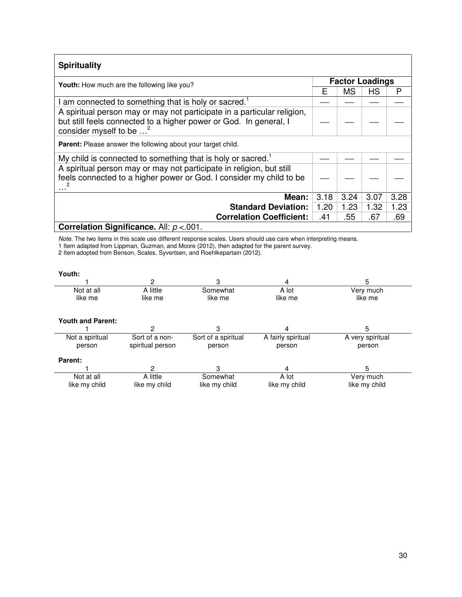| <b>Spirituality</b>                                                                                                                                                                |      |                        |      |      |  |
|------------------------------------------------------------------------------------------------------------------------------------------------------------------------------------|------|------------------------|------|------|--|
| <b>Youth:</b> How much are the following like you?                                                                                                                                 |      | <b>Factor Loadings</b> |      |      |  |
|                                                                                                                                                                                    | Е    | <b>MS</b>              | НS   | P    |  |
| am connected to something that is holy or sacred.                                                                                                                                  |      |                        |      |      |  |
| A spiritual person may or may not participate in a particular religion,<br>but still feels connected to a higher power or God. In general, I<br>consider myself to be <sup>2</sup> |      |                        |      |      |  |
| <b>Parent:</b> Please answer the following about your target child.                                                                                                                |      |                        |      |      |  |
| My child is connected to something that is holy or sacred. <sup>1</sup>                                                                                                            |      |                        |      |      |  |
| A spiritual person may or may not participate in religion, but still<br>feels connected to a higher power or God. I consider my child to be                                        |      |                        |      |      |  |
| Mean:                                                                                                                                                                              | 3.18 | 3.24                   | 3.07 | 3.28 |  |
| <b>Standard Deviation:</b>                                                                                                                                                         | 1.20 | 1.23                   | 1.32 | 1.23 |  |
| <b>Correlation Coefficient:</b>                                                                                                                                                    | .41  | .55                    | .67  | .69  |  |
| Correlation Significance. All: $p < 001$ .                                                                                                                                         |      |                        |      |      |  |

Note. The two items in this scale use different response scales. Users should use care when interpreting means. 1 Item adapted from Lippman, Guzman, and Moore (2012), then adapted for the parent survey.

2 Item adopted from Benson, Scales, Syvertsen, and Roehlkepartain (2012).

|                          | 2                |                     | 4                  | 5                |
|--------------------------|------------------|---------------------|--------------------|------------------|
| Not at all               | A little         | Somewhat            | A lot              | Very much        |
| like me                  | like me          | like me             | like me            | like me          |
| <b>Youth and Parent:</b> |                  |                     |                    |                  |
|                          | 2                | 3                   | 4                  | 5                |
| Not a spiritual          | Sort of a non-   | Sort of a spiritual | A fairly spiritual | A very spiritual |
| person                   | spiritual person | person              | person             | person           |
| Parent:                  |                  |                     |                    |                  |
|                          | 2                | 3                   | 4                  | 5                |
| Not at all               | A little         | Somewhat            | A lot              | Very much        |
| like my child            | like my child    | like my child       | like my child      | like my child    |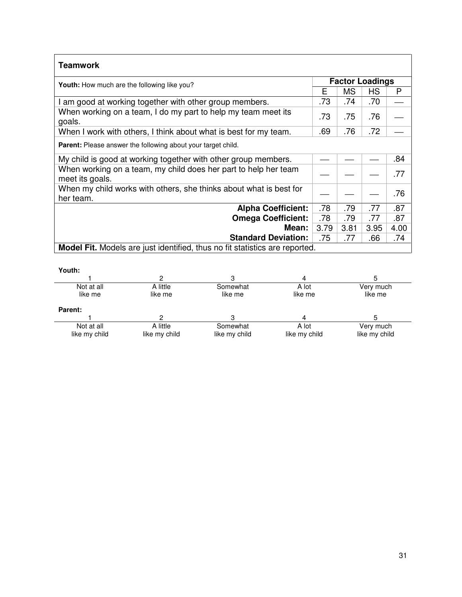| <b>Teamwork</b>                                                                    |      |                        |      |      |  |
|------------------------------------------------------------------------------------|------|------------------------|------|------|--|
| Youth: How much are the following like you?                                        |      | <b>Factor Loadings</b> |      |      |  |
|                                                                                    | Е    | <b>MS</b>              | НS   | P    |  |
| I am good at working together with other group members.                            | .73  | .74                    | .70  |      |  |
| When working on a team, I do my part to help my team meet its<br>goals.            | .73  | .75                    | .76  |      |  |
| When I work with others, I think about what is best for my team.                   | .69  | .76                    | .72  |      |  |
| Parent: Please answer the following about your target child.                       |      |                        |      |      |  |
| My child is good at working together with other group members.                     |      |                        |      | .84  |  |
| When working on a team, my child does her part to help her team<br>meet its goals. |      |                        |      | .77  |  |
| When my child works with others, she thinks about what is best for<br>her team.    |      |                        |      | .76  |  |
| <b>Alpha Coefficient:</b>                                                          | .78  | .79                    | .77  | .87  |  |
| <b>Omega Coefficient:</b>                                                          | .78  | .79                    | .77  | .87  |  |
| Mean:                                                                              | 3.79 | 3.81                   | 3.95 | 4.00 |  |
| <b>Standard Deviation:</b>                                                         | .75  | .77                    | .66  | .74  |  |
| <b>Model Fit.</b> Models are just identified, thus no fit statistics are reported. |      |                        |      |      |  |

| Not at all     | A little      | Somewhat      | A lot         | Very much     |
|----------------|---------------|---------------|---------------|---------------|
| like me        | like me       | like me       | like me       | like me       |
| <b>Parent:</b> |               |               |               |               |
|                |               |               |               |               |
| Not at all     | A little      | Somewhat      | A lot         | Very much     |
| like my child  | like my child | like my child | like my child | like my child |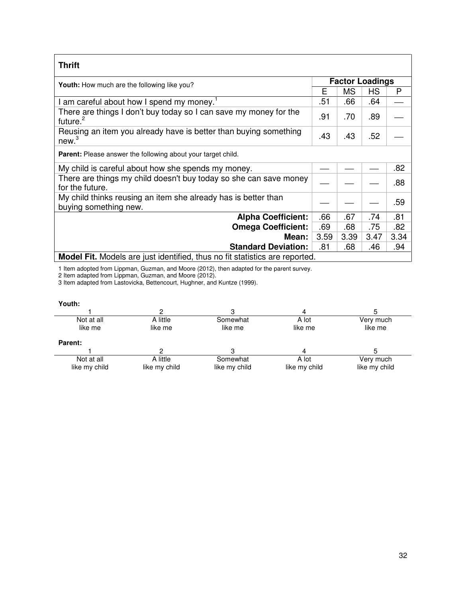| <b>Thrift</b>                                                                             |                        |           |      |      |  |  |
|-------------------------------------------------------------------------------------------|------------------------|-----------|------|------|--|--|
| Youth: How much are the following like you?                                               | <b>Factor Loadings</b> |           |      |      |  |  |
|                                                                                           |                        | <b>MS</b> | НS   | P    |  |  |
| I am careful about how I spend my money. <sup>1</sup>                                     | .51                    | .66       | .64  |      |  |  |
| There are things I don't buy today so I can save my money for the<br>future. <sup>2</sup> | .91                    | .70       | .89  |      |  |  |
| Reusing an item you already have is better than buying something<br>new <sup>3</sup>      | .43                    | .43       | .52  |      |  |  |
| Parent: Please answer the following about your target child.                              |                        |           |      |      |  |  |
| My child is careful about how she spends my money.                                        |                        |           |      | .82  |  |  |
| There are things my child doesn't buy today so she can save money<br>for the future.      |                        |           |      | .88  |  |  |
| My child thinks reusing an item she already has is better than<br>buying something new.   |                        |           |      | .59  |  |  |
| <b>Alpha Coefficient:</b>                                                                 | .66                    | .67       | .74  | .81  |  |  |
| <b>Omega Coefficient:</b>                                                                 | .69                    | .68       | .75  | .82  |  |  |
| <b>Mean:</b>                                                                              | 3.59                   | 3.39      | 3.47 | 3.34 |  |  |
| <b>Standard Deviation:</b>                                                                | .81                    | .68       | .46  | .94  |  |  |
| <b>Model Fit.</b> Models are just identified, thus no fit statistics are reported.        |                        |           |      |      |  |  |

1 Item adopted from Lippman, Guzman, and Moore (2012), then adapted for the parent survey.

2 Item adapted from Lippman, Guzman, and Moore (2012).

3 Item adapted from Lastovicka, Bettencourt, Hughner, and Kuntze (1999).

| Youth:        |               |               |               |               |
|---------------|---------------|---------------|---------------|---------------|
|               | 2             |               |               |               |
| Not at all    | A little      | Somewhat      | A lot         | Very much     |
| like me       | like me       | like me       | like me       | like me       |
| Parent:       |               |               |               |               |
|               |               |               |               |               |
| Not at all    | A little      | Somewhat      | A lot         | Very much     |
| like my child | like my child | like my child | like my child | like my child |
|               |               |               |               |               |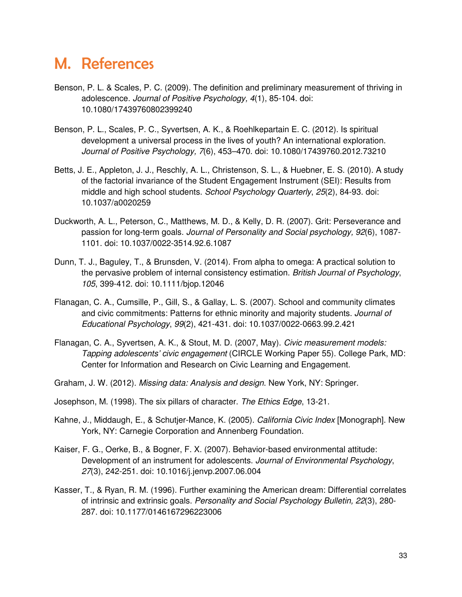### M. References

- Benson, P. L. & Scales, P. C. (2009). The definition and preliminary measurement of thriving in adolescence. Journal of Positive Psychology, 4(1), 85-104. doi: 10.1080/17439760802399240
- Benson, P. L., Scales, P. C., Syvertsen, A. K., & Roehlkepartain E. C. (2012). Is spiritual development a universal process in the lives of youth? An international exploration. Journal of Positive Psychology, 7(6), 453–470. doi: 10.1080/17439760.2012.73210
- Betts, J. E., Appleton, J. J., Reschly, A. L., Christenson, S. L., & Huebner, E. S. (2010). A study of the factorial invariance of the Student Engagement Instrument (SEI): Results from middle and high school students. School Psychology Quarterly, 25(2), 84-93. doi: 10.1037/a0020259
- Duckworth, A. L., Peterson, C., Matthews, M. D., & Kelly, D. R. (2007). Grit: Perseverance and passion for long-term goals. Journal of Personality and Social psychology, 92(6), 1087- 1101. doi: 10.1037/0022-3514.92.6.1087
- Dunn, T. J., Baguley, T., & Brunsden, V. (2014). From alpha to omega: A practical solution to the pervasive problem of internal consistency estimation. British Journal of Psychology, 105, 399-412. doi: 10.1111/bjop.12046
- Flanagan, C. A., Cumsille, P., Gill, S., & Gallay, L. S. (2007). School and community climates and civic commitments: Patterns for ethnic minority and majority students. Journal of Educational Psychology, 99(2), 421-431. doi: 10.1037/0022-0663.99.2.421
- Flanagan, C. A., Syvertsen, A. K., & Stout, M. D. (2007, May). Civic measurement models: Tapping adolescents' civic engagement (CIRCLE Working Paper 55). College Park, MD: Center for Information and Research on Civic Learning and Engagement.
- Graham, J. W. (2012). Missing data: Analysis and design. New York, NY: Springer.
- Josephson, M. (1998). The six pillars of character. The Ethics Edge, 13-21.
- Kahne, J., Middaugh, E., & Schutjer-Mance, K. (2005). California Civic Index [Monograph]. New York, NY: Carnegie Corporation and Annenberg Foundation.
- Kaiser, F. G., Oerke, B., & Bogner, F. X. (2007). Behavior-based environmental attitude: Development of an instrument for adolescents. Journal of Environmental Psychology, 27(3), 242-251. doi: 10.1016/j.jenvp.2007.06.004
- Kasser, T., & Ryan, R. M. (1996). Further examining the American dream: Differential correlates of intrinsic and extrinsic goals. Personality and Social Psychology Bulletin, 22(3), 280- 287. doi: 10.1177/0146167296223006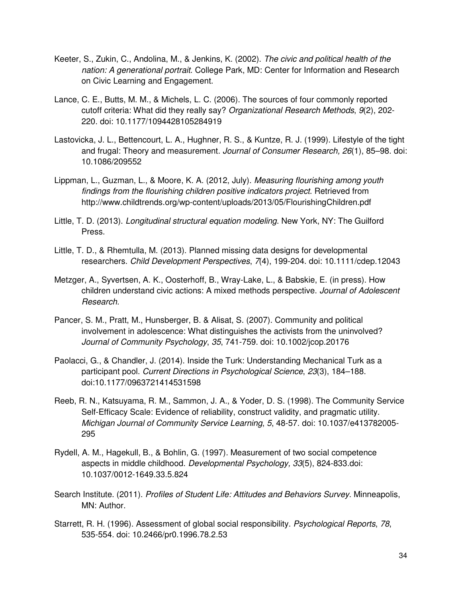- Keeter, S., Zukin, C., Andolina, M., & Jenkins, K. (2002). The civic and political health of the nation: A generational portrait. College Park, MD: Center for Information and Research on Civic Learning and Engagement.
- Lance, C. E., Butts, M. M., & Michels, L. C. (2006). The sources of four commonly reported cutoff criteria: What did they really say? Organizational Research Methods, 9(2), 202- 220. doi: 10.1177/1094428105284919
- Lastovicka, J. L., Bettencourt, L. A., Hughner, R. S., & Kuntze, R. J. (1999). Lifestyle of the tight and frugal: Theory and measurement. Journal of Consumer Research, 26(1), 85–98. doi: 10.1086/209552
- Lippman, L., Guzman, L., & Moore, K. A. (2012, July). Measuring flourishing among youth findings from the flourishing children positive indicators project. Retrieved from http://www.childtrends.org/wp-content/uploads/2013/05/FlourishingChildren.pdf
- Little, T. D. (2013). Longitudinal structural equation modeling. New York, NY: The Guilford Press.
- Little, T. D., & Rhemtulla, M. (2013). Planned missing data designs for developmental researchers. Child Development Perspectives, 7(4), 199-204. doi: 10.1111/cdep.12043
- Metzger, A., Syvertsen, A. K., Oosterhoff, B., Wray-Lake, L., & Babskie, E. (in press). How children understand civic actions: A mixed methods perspective. Journal of Adolescent Research.
- Pancer, S. M., Pratt, M., Hunsberger, B. & Alisat, S. (2007). Community and political involvement in adolescence: What distinguishes the activists from the uninvolved? Journal of Community Psychology, 35, 741-759. doi: 10.1002/jcop.20176
- Paolacci, G., & Chandler, J. (2014). Inside the Turk: Understanding Mechanical Turk as a participant pool. Current Directions in Psychological Science, 23(3), 184–188. doi:10.1177/0963721414531598
- Reeb, R. N., Katsuyama, R. M., Sammon, J. A., & Yoder, D. S. (1998). The Community Service Self-Efficacy Scale: Evidence of reliability, construct validity, and pragmatic utility. Michigan Journal of Community Service Learning, 5, 48-57. doi: 10.1037/e413782005- 295
- Rydell, A. M., Hagekull, B., & Bohlin, G. (1997). Measurement of two social competence aspects in middle childhood. Developmental Psychology, 33(5), 824-833.doi: 10.1037/0012-1649.33.5.824
- Search Institute. (2011). Profiles of Student Life: Attitudes and Behaviors Survey. Minneapolis, MN: Author.
- Starrett, R. H. (1996). Assessment of global social responsibility. Psychological Reports, 78, 535-554. doi: 10.2466/pr0.1996.78.2.53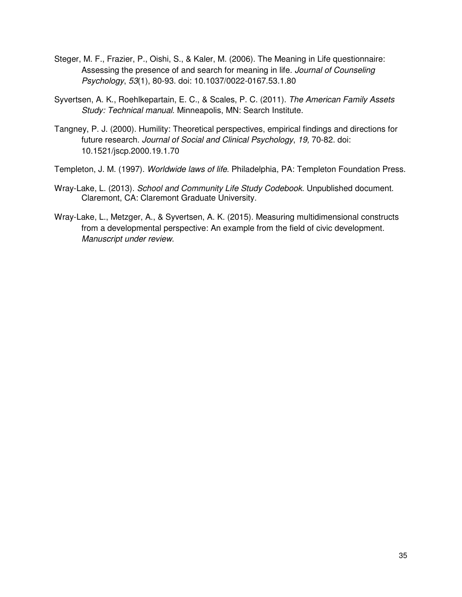- Steger, M. F., Frazier, P., Oishi, S., & Kaler, M. (2006). The Meaning in Life questionnaire: Assessing the presence of and search for meaning in life. Journal of Counseling Psychology, 53(1), 80-93. doi: 10.1037/0022-0167.53.1.80
- Syvertsen, A. K., Roehlkepartain, E. C., & Scales, P. C. (2011). The American Family Assets Study: Technical manual. Minneapolis, MN: Search Institute.
- Tangney, P. J. (2000). Humility: Theoretical perspectives, empirical findings and directions for future research. Journal of Social and Clinical Psychology, 19, 70-82. doi: 10.1521/jscp.2000.19.1.70

Templeton, J. M. (1997). Worldwide laws of life. Philadelphia, PA: Templeton Foundation Press.

- Wray-Lake, L. (2013). School and Community Life Study Codebook. Unpublished document. Claremont, CA: Claremont Graduate University.
- Wray-Lake, L., Metzger, A., & Syvertsen, A. K. (2015). Measuring multidimensional constructs from a developmental perspective: An example from the field of civic development. Manuscript under review.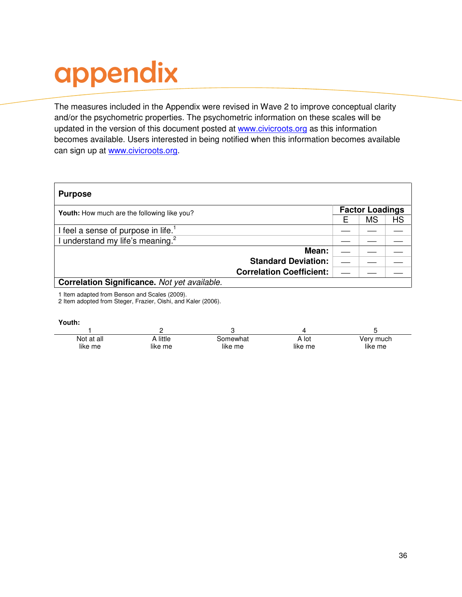# appendix

The measures included in the Appendix were revised in Wave 2 to improve conceptual clarity and/or the psychometric properties. The psychometric information on these scales will be updated in the version of this document posted at www.civicroots.org as this information becomes available. Users interested in being notified when this information becomes available can sign up at www.civicroots.org.

| <b>Purpose</b>                                  |                                 |                        |    |
|-------------------------------------------------|---------------------------------|------------------------|----|
| Youth: How much are the following like you?     |                                 | <b>Factor Loadings</b> |    |
|                                                 |                                 | MS                     | HS |
| I feel a sense of purpose in life. <sup>1</sup> |                                 |                        |    |
| I understand my life's meaning. <sup>2</sup>    |                                 |                        |    |
|                                                 | Mean:                           |                        |    |
|                                                 | <b>Standard Deviation:</b>      |                        |    |
|                                                 | <b>Correlation Coefficient:</b> |                        |    |
| Correlation Significance. Not yet available.    |                                 |                        |    |

1 Item adapted from Benson and Scales (2009).

2 Item adopted from Steger, Frazier, Oishi, and Kaler (2006).

| Not at all | A little | Somewhat | A lot   | Very much |
|------------|----------|----------|---------|-----------|
| like me    | like me  | like me  | like me | like me   |